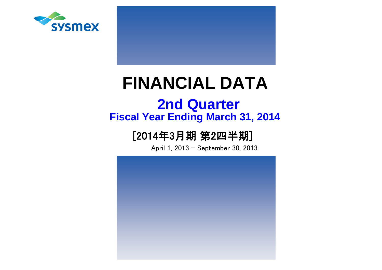

# **FINANCIAL DATA**

# **Fiscal Year Ending March 31, 2014 2nd Quarter**

# [2014年3月期 第2四半期]

April 1, 2013 - September 30, 2013

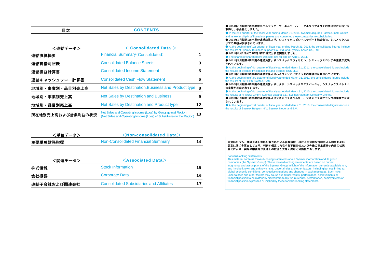| YV | <b>CONTENTS</b> |
|----|-----------------|
|    |                 |

| <連結データ>           | $<$ Consolidated Data $>$                                                                                                             |    |
|-------------------|---------------------------------------------------------------------------------------------------------------------------------------|----|
| 連結決算概要            | <b>Financial Summary (Consolidated)</b>                                                                                               |    |
| 連結貸借対照表           | <b>Consolidated Balance Sheets</b>                                                                                                    | 3  |
| 連結損益計算書           | <b>Consolidated Income Statement</b>                                                                                                  | 5  |
| 連結キャッシュフロー計算書     | <b>Consolidated Cash Flow Statement</b>                                                                                               | 6  |
| 地域別・事業別・品目別売上高    | Net Sales by Destination, Business and Product type                                                                                   | -8 |
| 地域別・事業別売上高        | <b>Net Sales by Destination and Business</b>                                                                                          | 9  |
| 地域別・品目別売上高        | Net Sales by Destination and Product type                                                                                             | 12 |
| 所在地別売上高および営業利益の状況 | Net Sales and Operating Income (Loss) by Geographical Region<br>(Net Sales and Operating Income (Loss) of Subsidiaries in the Region) | 13 |

| <単独データ>  | $\leq$ Non-consolidated Data $>$   |  |  |  |  |  |  |  |  |
|----------|------------------------------------|--|--|--|--|--|--|--|--|
| 主要単独財務指標 | Non-Consolidated Financial Summary |  |  |  |  |  |  |  |  |

| <関連データ>      | $\leq$ Associated Data $>$                      |     |  |
|--------------|-------------------------------------------------|-----|--|
| 株式情報         | <b>Stock Information</b>                        | 15. |  |
| 会社概要         | <b>Corporate Data</b>                           | 16  |  |
| 連結子会社および関連会社 | <b>Consolidated Subsidiaries and Affiliates</b> | 17  |  |

● 2014年3月期第2四半期中にパルテック ゲーエムベーハー ゲルリッツ及びその関係会社の持分を 取得し、子会社化しました。

 ● In the 2nd quarter of the fiscal year ending March 31, 2014, Sysmex acquired Partec GmbH Görlitz and its ownership in affiliated companies and converted these companies to subsidiaries. ● 2014年3月期第1四半期の連結決算より、シスメックスビジネスサポート株式会社、シスメックスコ

リアの業績が反映されています。

 ● At the beginning of 1st quarter of fiscal year ending March 31, 2014, the consolidated figures include The results of Sysmex Business Support Co., Ltd. and Sysmex Korea Co., Ltd.

● 2011年4月1日付で1株を2株に株式分割を実施しました。

● The shares of shareholders was split two for one on April 1, 2011. ● 2011年3月期第4四半期の連結決算よりシスメックスフィリピン、シスメックスロシアの業績が反映

されています。

● At the beginning of 4th quarter of fiscal year ended March 31, 2011, the consolidated figures include the results of Sysmex Philippines Inc and Sysmex RUS LLC.

● 2011年3月期第3四半期の連結決算よりハイフェンバイオメッドの業績が反映されています。

● At the beginning of 3rd quarter of fiscal year ended March 31, 2011, the consolidated figures include the results of HYPHEN BioMed, SAS

● 2010年3月期第4四半期の連結決算よりヒタド、シスメックスエスパーニャ、シスメックスベトナム の業績が反映されています。

 ● At the beginning of 4th quarter of fiscal year ended March 31, 2010, the consolidated figures include the results of HITADO GmbH, Sysmex Espana S.L., Sysmex Vietnam Company Limited.

● 2010年3月期第1四半期の連結決算よりシスメックスベルギー、シスメックスオランダの業績が反映 されています。

● At the beginning of 1st quarter of fiscal year ended March 31, 2010, the consolidated figures include the results of Sysmex Belgium N.V, Sysmex Nederland B.V.

#### 本資料のうち、業績見通し等に記載されている各数値は、現在入手可能な情報による判断および 仮定に基づき算出しており、判断や仮定に内在する不確定性および今後の事業運営や内外の状況変化により、実際の業績等が見通しの数値と大きく異なる可能性があります。

#### Forward-looking Statements

This material contains forward-looking statements about Sysmex Corporation and its group companies (the Sysmex Group). These forward-looking statements are based on current judgments and assumptions of the Sysmex Group in light of the information currently available to it, and involve known and unknown risks, uncertainties and other factors, including but not limited to: global economic conditions, competitive situations and changes in exchange rates. Such risks, uncertainties and other factors may cause our actual results, performance, achievements or financial position to be materially different from any future results, performance, achievements or financial position expressed or implied by these forward-looking statements.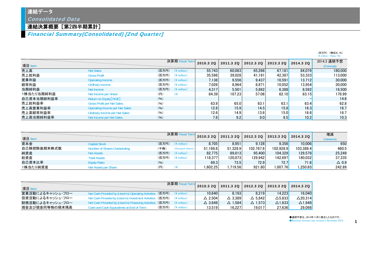#### 連結データ

Consolidated Data

#### 連結決算概要[第2四半期累計]

Financial Summary(Consolidated) [2nd Quarter]

|            |                                       |       |                                                       |           |           |           |           |                       | $(\frac{4}{5})$ million $(Ratio: 96)$ |
|------------|---------------------------------------|-------|-------------------------------------------------------|-----------|-----------|-----------|-----------|-----------------------|---------------------------------------|
|            |                                       |       | 決算期 Fiscal Term                                       | 2010.3 20 | 2011.3 20 | 2012.3 20 | 2013.3 2Q | 2014.3 20             | 2014.3 通期予想                           |
| 項目 Item    |                                       |       |                                                       |           |           |           |           |                       | (Forecast)                            |
| 売上高        | <b>Net Sales</b>                      |       | $($ 百万円) $($ ¥ million)                               | 55.743    | 60.063    | 65.266    | 67.181    | 84.079                | 180,000                               |
| 売上総利益      | <b>Gross Profit</b>                   | (百万円) | $(4 \text{ million})$                                 | 35.598    | 39.028    | 41.191    | 42.387    | 53.333                | 113,000                               |
| 営業利益       | Operating Income                      |       | $(\overline{\mathbf{a}}$ 万円) $(\frac{2}{3})$ million) | 7.138     | 9.556     | 9.437     | 10.591    | 13.712                | 30,000                                |
| 経常利益       | Ordinary Income                       | (百万円) | $(*$ million)                                         | 7.026     | 8.964     | 8.871     | 10.052    | 13.954 <mark> </mark> | 30,000                                |
| 当期純利益      | Net Income                            |       | $($ 百万円) $($ ¥ million)                               | 4.317     | 5.501     | 5.862     | 6.388     | 8.592                 | 18.500                                |
| 1株当たり当期純利益 | Net Income per Share                  | (円)   | $(\yen)$                                              | 84.39     | 107.23    | 57.06     | 62.10     | 83.15                 | 178.99                                |
| 自己資本当期純利益率 | Return on Equity [ROE]                | (96)  |                                                       |           |           |           |           |                       | 14.6                                  |
| 売上総利益率     | <b>Gross Profit per Net Sales</b>     | (96)  |                                                       | 63.9      | 65.0      | 63.1      | 63.1      | 63.4                  | 62.8                                  |
| 売上高営業利益率   | <b>Operating Income per Net Sales</b> | (96)  |                                                       | 12.8      | 15.9      | 14.5      | 15.8      | 16.3                  | 16.7                                  |
| 売上高経常利益率   | <b>Ordinary Income per Net Sales</b>  | (96)  |                                                       | 12.6      | 14.9      | 13.6      | 15.0      | 16.6                  | 16.7                                  |
| 売上高当期純利益率  | Net Income per Net Sales              | (96)  |                                                       | 7.8       | 9.2       | 9.0       | 9.5       | 10.2                  | 10.3                                  |

|             |                              |       | 決算期 Fiscal Te           |           |          | 2011.3 2Q 2012.3 2Q | 2013.3 20 | 2014.3 20 | 増減              |
|-------------|------------------------------|-------|-------------------------|-----------|----------|---------------------|-----------|-----------|-----------------|
| 項目 Item     |                              |       |                         | 2010.3 20 |          |                     |           |           | (Variance)      |
| 資本金         | <b>Capital Stock</b>         |       | $($ 百万円) $($ ¥ million) | 8.705     | 8.951    | 9.128               | 9.356     | 10.006    | 650             |
| 自己株控除後期末株式数 | Number of Shares Outstanding | 〔千株〕  | (thousand shares)       | 51.169.8  | 51.328.9 | 102.767.6           | 102.928.9 | 103.389.4 | 460.5           |
| 純資産         | <b>Net Assets</b>            |       | (百万円) (¥ million)       | 82.775    | 89.013   | 95.400              | 104.329   | 129,578   | 25.249          |
| 総資産         | <b>Total Assets</b>          | (百万円) | $(\frac{1}{2})$ million | 118.377   | 120.073  | 129.942             | 142.697   | 180.032   | 37.335          |
| 自己資本比率      | <b>Equity Ratio</b>          | (96)  |                         | 69.3      | 73.5     | 72.9                | 72.7      | 71.8      | $\triangle$ 0.9 |
| 1株当たり純資産    | Net Assets per Share         | (円)   |                         | 602.25. ا | .719.56  | 921.80              | 1.007.76  | .250.65   | 242.89          |

| 項目 Item          |                                                                                  |                               | 決算期 Fiscal |                   | 2010.3 2Q 2011.3 2Q 2012.3 2Q 2013.3 2Q |                   |                   | 2014.320          |
|------------------|----------------------------------------------------------------------------------|-------------------------------|------------|-------------------|-----------------------------------------|-------------------|-------------------|-------------------|
| 営業活動によるキャッシュ・フロー | Net Cash Provided by (Used in) Operating Activities (百万円) (¥ million)            |                               |            | 10.640            | 8.193                                   | 8.219             | 14.223            | 16.040            |
| 投資活動によるキャッシュ・フロー | Net Cash Provided by (Used in) Investment Activities (百万円) $(4 \text{ million})$ |                               |            | $\triangle$ 2.504 | $\triangle$ 3.389                       | $\triangle$ 5.842 | $\triangle$ 5.833 | $\Delta$ 20.314   |
| 財務活動によるキャッシュ・フロー | Net Cash Provided by (Used in) Financing Activities (百万円) (¥ million)            |                               |            | $\triangle$ 3.648 | $\Delta$ 1.584                          | $\Delta$ 1.573    | $\triangle$ 1.833 | $\triangle$ 1.948 |
| 現金及び現金同等物の期末残高   | Cash and Cash Equivalents at End of Term                                         | $($ 百万円 $)$ $($ ¥ million $)$ |            | 13.519            | 16.227                                  | 19.017            | 27,636            | 29.098            |

●通期予想は、2013年11月に修正したものです。

●Business forecast was revised in November 2013. 1

(百万円) (構成比:%)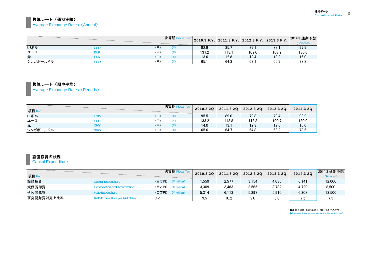#### 換算レート(通期実績) **Average Exchange Rates (Annual)**

|              |     |     | 決算期Fi |       |       |       | │ 2010.3 F.Y. │ 2011.3 F.Y. │ 2012.3 F.Y. │ 2013.3 F.Y. │ | 2014.3 通期予想<br>(Forecast) |
|--------------|-----|-----|-------|-------|-------|-------|-----------------------------------------------------------|---------------------------|
| <b>USFIL</b> | JSD | (H) | ¥)    | 92.9  | 85.7  | 79.7  | 83.                                                       | 97.9                      |
| ユーロ          | eur | (円) | ¥)    | 131.2 | 113.1 | 109.0 | 107.2                                                     | 130.0                     |
| 元            | CNY | (円) | ¥)    | 13.6  | 12.8  | 12.4  | 13.2                                                      | 16.0                      |
| シンガポールドル     | SGD | (円) | ¥     | 65.1  | 64.3  | 63.   | 66.9                                                      | 78.8                      |

#### 換算レート(期中平均)

Average Exchange Rates (Periods)

| 項目 Item      | <u> Andrew Hermann and Britain and Britain and Britain and Britain and Britain and Britain and Britain and Britain and Britain and Britain and Britain and Britain and Britain and Britain and Britain and Britain and Britain a</u> |     | 決算期 Fiscal Term | 2010.3 20 | 2011.3 2Q | 2012.3 20 | 2013.3 20 | 2014.3 20 |
|--------------|--------------------------------------------------------------------------------------------------------------------------------------------------------------------------------------------------------------------------------------|-----|-----------------|-----------|-----------|-----------|-----------|-----------|
| <b>USFJL</b> | USD                                                                                                                                                                                                                                  | (円) | (¥)             | 95.5      | 89.0      | 79.8      | 79.4      | 98.9      |
| ユーロ          | eur                                                                                                                                                                                                                                  | (円) | ¥)              | 133.2     | 113.8     | 113.8     | 100.7     | 130.0     |
| 元            | CNY                                                                                                                                                                                                                                  | (H) | (¥)             | 14.0      | 13.1      | 12.3      | 12.6      | 16.0      |
| シンガポールドル     | SGD                                                                                                                                                                                                                                  | (円) | ¥)              | 65.6      | 64.7      | 64.8      | 63.2      | 78.6      |

#### 設備投資の状況

#### **Capital Expenditure**

| 項目 Item    |                                          | 決算期 Fiscal Term                  | 2010.3 2Q | 2011.3 20 | 2012.3 20 | 2013.3 2Q | 2014.3 2Q | 2014.3 通期予想<br>(Forecast) |
|------------|------------------------------------------|----------------------------------|-----------|-----------|-----------|-----------|-----------|---------------------------|
| 設備投資       | Capital Expenditure                      | (百万円)<br>$(*)$ million)          | 559. ا    | 2,577     | 3,154     | 4.086     | 6,141     | 12,000                    |
| 減価償却費      | Depreciation and Amortization            | (百万円)<br>$(*)$ million)          | 3.309     | 3,483     | 3,565     | 3.782     | 4.720     | 8,500                     |
| 研究開発費      | <b>R&amp;D Expenditure</b>               | (百万円)<br>$(\frac{2}{3})$ million | 5.314     | 6.113     | 5,897     | 5.910     | 6.308     | 13,500                    |
| 研究開発費対売上比率 | <b>R&amp;D Expenditure per Net Sales</b> | (96)                             | 9.5       | 10.2      | 9.0       | 8.8       |           | 7.5                       |

●通期予想は、2013年11月に修正したものです。 ●Business forecast was revised in November 2013.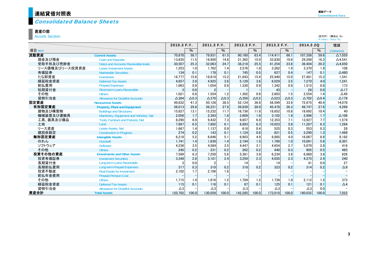## $\frac{\dagger}{2}$ 連結貸借対照表

#### Consolidated Balance Sheets

#### 資産の部

Assets Section

|                |                                           | 2010.3 F.Y.     |              | 2011.3 F.Y.     |              | 2012.3 F.Y.     |              | 2013.3 F.Y.   |              | 2014.3 2Q       |              | 増減                       |
|----------------|-------------------------------------------|-----------------|--------------|-----------------|--------------|-----------------|--------------|---------------|--------------|-----------------|--------------|--------------------------|
| 項目 Item        |                                           |                 | $\%$         |                 | $\%$         |                 | %            |               | %            |                 | $\%$         | (Variance)               |
| 流動資産           | <b>Current Assets</b>                     | 70.870          | 58.7         | 79.931          | 61.5         | 90.160          | 63.4         | 114.411       | 66.1         | 107.356         | 59.6         | $\Delta$ 7.055           |
| 現金及び預金         | <b>Cash and Deposits</b>                  | 13,835          | 11.5         | 18.950          | 14.6         | 21,362          | 15.0         | 33.830        | 19.6         | 29,289          | 16.3         | $\Delta$ 4,541           |
| 受取手形及び売掛金      | Notes and Accounts Receivable-trade       | 30,507          | 25.3         | 32,063          | 24.7         | 36,218          | 25.5         | 41,254        | 23.8         | 36,404          | 20.2         | $\Delta$ 4,850           |
| リース債権及びリース投資資産 | <b>Lease Investment Assets</b>            | 1,253           | 1.0          | 1.762           | 1.4          | 2.576           | 1.8          | 3.262         | 1.9          | 3.370           | 1.9          | 108                      |
| 有価証券           | <b>Marketable Securities</b>              | 134             | 0.1          | 178             | 0.1          | 745             | 0.5          | 627           | 0.4          | 147             | 0.1          | $\triangle$ 480          |
| たな卸資産          | <b>Inventories</b>                        | 18,777          | 15.6         | 19.810          | 15.2         | 21.843          | 15.4         | 25,940        | 15.0         | 27.481          | 15.3         | 1,541                    |
| 繰延税金資産         | <b>Deferred Tax Assets</b>                | 4,657           | 3.9          | 4.925           | 3.8          | 5,129           | 3.6          | 6.029         | 3.5          | 7,270           | 4.0          | 1,241                    |
| 前払費用           | <b>Prepaid Expenses</b>                   | 1,063           | 0.9          | 1.054           | 0.8          | 1.330           | 0.9          | 1.342         | 0.8          | 1.515           | 0.8          | 173                      |
| 短期貸付金          | <b>Short-term Loans Receivable</b>        |                 | 0.0          | $\overline{2}$  |              |                 |              | 43            |              | 26              | 0.0          | $\triangle$ 17           |
| その他            | <b>Others</b>                             | 1,021           | 0.8          | 1.554           | 1.2          | 1,302           | 0.9          | 2,603         | 1.5          | 2,554           | 1.4          | $\triangle$ 49           |
| 貸倒引当金          | <b>Allowance for Doubtful Accounts</b>    | $\triangle$ 384 | $\Delta$ 0.3 | $\triangle$ 370 | $\Delta$ 0.3 | $\triangle$ 350 | $\Delta$ 0.2 | $\Delta$ 523  | $\Delta$ 0.3 | $\triangle$ 702 | $\Delta$ 0.4 | $\Delta$ 179             |
| 固定資産           | <b>Noncurrent Assets</b>                  | 49,832          | 41.3         | 50.128          | 38.5         | 52.124          | 36.6         | 58.599        | 33.9         | 72.675          | 40.4         | 14,076                   |
| 有形固定資産         | <b>Property, Plant and Equipment</b>      | 36,013          | 29.8         | 36,231          | 27.9         | 39,839          | 28.0         | 45,478        | 26.3         | 49.747          | 27.6         | 4,269                    |
| 建物及び構築物        | <b>Buildings and Structures</b>           | 15,827          | 13.1         | 15,232          | 11.7         | 16,736          | 11.8         | 18,652        | 10.8         | 18,692          | 10.4         | 40                       |
| 機械装置及び運搬具      | Machinery, Equipment and Vehicles, Net    | 2,056           | 1.7          | 2.393           | 1.8          | 2.609           | 1.8          | 3.102         | 1.8          | 2,996           | 1.7          | $\Delta$ 106             |
| 工具、器具及び備品      | <b>Tools. Furniture and Fixtures. Net</b> | 8,290           | 6.9          | 9.432           | 7.3          | 9.857           | 6.9          | 12,353        | 7.1          | 13.927          | 7.7          | 1,574                    |
| 土地             | Land                                      | 7,897           | 6.5          | 7.892           | 6.1          | 8,893           | 6.3          | 10.023        | 5.8          | 11,287          | 6.3          | 1,264                    |
| リース資産          | Lease Assets, Net                         | 1,667           | 1.4          | 1.137           | 0.9          | 618             | 0.4          | 525           | 0.3          | 553             | 0.3          | 28                       |
| 建設仮勘定          | <b>Construction in Progress</b>           | 274             | 0.2          | 143             | 0.1          | 1.124           | 0.8          | 821           | 0.5          | 2,290           | 1.3          | 1.469                    |
| 無形固定資産         | <b>Intangible Assets</b>                  | 6,218           | 5.2          | 6.646           | 5.1          | 6.903           | 4.9          | 6.885         | 4.0          | 16.067          | 8.9          | 9.182                    |
| のれん            | Goodwill                                  | 1,741           | 1.4          | 1.830           | 1.4          | 2,194           | 1.5          | 1.790         | 1.0          | 10.091          | 5.6          | 8,301                    |
| ソフトウェア         | Software                                  | 4,236           | 3.5          | 4,584           | 3.5          | 4,447           | 3.1          | 4,654         | 2.7          | 5,070           | 2.8          | 416                      |
| その他            | <b>Others</b>                             | 240             | 0.2          | 231             | 0.2          | 262             | 0.2          | 440           | 0.3          | 905             | 0.5          | 465                      |
| 投資その他の資産       | <b>Investments and Other Assets</b>       | 7,599           | 6.3          | 7.250           | 5.6          | 5.381           | 3.8          | 6.234         | 3.6          | 6,860           | 3.8          | 626                      |
| 投資有価証券         | <b>Investment Securities</b>              | 3,348           | 2.8          | 3.101           | 2.4          | 3,259           | 2.3          | 4,035         | 2.3          | 4,275           | 2.4          | 240                      |
| 長期貸付金          | Long-term Loans Receivable                |                 | 0.0          |                 |              | 14              |              | 14            |              | 41              | 0.0          | 27                       |
| 長期前払費用         | <b>Long-term Prepaid Expenses</b>         | 317             | 0.3          | 310             | 0.2          | 318             | 0.2          | 323           | 0.2          | 314             | 0.2          | $\Delta 9$               |
| 投資不動産          | <b>Real Estate for Investment</b>         | 2,102           | 1.7          | 2.106           | 1.6          |                 |              |               |              |                 |              |                          |
| 前払年金費用         | <b>Prepaid Pension Cost</b>               |                 |              |                 |              |                 |              |               |              |                 |              | $\overline{\phantom{a}}$ |
| その他            | <b>Others</b>                             | 1.715           | 1.4          | 1.616           | 1.2          | 1.704           | 1.2          | 1.739         | 1.0          | 2.112           | 1.2          | 373                      |
| 繰延税金資産         | <b>Deferred Tax Assets</b>                | 115             | 0.1          | 116             | 0.1          | 87              | 0.1          | 125           | 0.1          | 121             | 0.1          | $\triangle$ 4            |
| 貸倒引当金          | <b>Allowance for Doubtful Accounts</b>    | $\triangle 3$   |              | $\triangle 3$   |              | $\triangle 3$   |              | $\triangle 3$ |              | $\triangle 3$   | 0.0          |                          |
| 資産合計           | <b>Total Assets</b>                       | 120.702         | 100.0        | 130.059         | 100.0        | 142.285         | 100.0        | 173.010       | 100.0        | 180.032         | 100.0        | 7.022                    |

(百万円) (構成比:%) (\ million) (Ratio:%)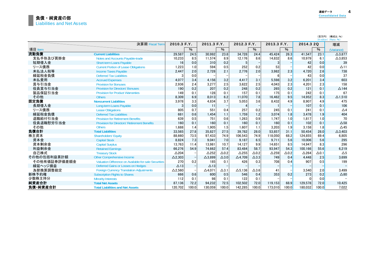|              |                                                       |                 |       |                   |                 |                 |                 |                 |              |              |               | (百万円) (構成比:%)<br>(¥ million) (Ratio: %) |
|--------------|-------------------------------------------------------|-----------------|-------|-------------------|-----------------|-----------------|-----------------|-----------------|--------------|--------------|---------------|-----------------------------------------|
|              | 決算期 Fiscal Term                                       | 2010.3 F.Y.     |       | 2011.3 F.Y.       |                 | 2012.3 F.Y.     |                 | 2013.3 F.Y.     |              | 2014.3 2Q    |               | 増減                                      |
| 項目 Item      |                                                       |                 | $\%$  |                   | $\%$            |                 | $\%$            |                 | $\%$         |              | $\frac{9}{6}$ | (Variance)                              |
| 流動負債         | <b>Current Liabilities</b>                            | 29,587          | 24.5  | 30.992            | 23.8            | 34.728          | 24.4            | 45.424          | 26.3         | 41.547       | 23.1          | $\triangle$ 3.877                       |
| 支払手形及び買掛金    | Notes and Accounts Pavable-trade                      | 10,233          | 8.5   | 11,574            | 8.9             | 12,176          | 8.6             | 14,832          | 8.6          | 10,979       | 6.1           | $\Delta$ 3,853                          |
| 短期借入金        | Short-term Loans Payable                              | 16              | 0.0   | 310               | 0.2             | 5               |                 | 3               |              | 42           | 0.0           | 39                                      |
| リース債務        | <b>Current Portion of Lease Obligations</b>           | 1,223           | 1.0   | 594               | 0.5             | 252             | 0.2             | 53              |              | 42           | 0.0           | $\Delta$ 11                             |
| 未払法人税等       | <b>Income Taxes Payable</b>                           | 2,447           | 2.0   | 2.728             | 2.1             | 2,776           | 2.0             | 3.982           | 2.3          | 4,720        | 2.6           | 738                                     |
| 繰延税金負債       | <b>Deferred Tax Liabilities</b>                       |                 | 0.0   |                   |                 |                 |                 | 6               |              | 43           | 0.0           | 37                                      |
| 未払費用         | <b>Accrued Expenses</b>                               | 4,077           | 3.4   | 4.156             | 3.2             | 4,417           | 3.1             | 5,598           | 3.2          | 6,201        | 3.4           | 603                                     |
| 賞与引当金        | <b>Provision for Bonuses</b>                          | 2,936           | 2.4   | 3,277             | 2.5             | 3.622           | 2.5             | 4.043           | 2.3          | 4,201        | 2.3           | 158                                     |
| 役員賞与引当金      | <b>Provision for Directors' Bonuses</b>               | 190             | 0.2   | 207               | 0.2             | 248             | 0.2             | 265             | 0.2          | 121          | 0.1           | $\triangle$ 144                         |
| 製品保証引当金      | <b>Provision for Product Warranties</b>               | 149             | 0.1   | 128               | 0.1             | 157             | 0.1             | 175             | 0.1          | 242          | 0.1           | 67                                      |
| その他          | <b>Others</b>                                         | 8,309           | 6.9   | 8,013             | 6.2             | 11.070          | 7.8             | 16.462          | 9.5          | 14,952       | 8.3           | $\Delta$ 1,510                          |
| 固定負債         | <b>Noncurrent Liabilities</b>                         | 3,978           | 3.3   | 4.834             | 3.7             | 5,053           | 3.6             | 8.432           | 4.9          | 8,907        | 4.9           | 475                                     |
| 長期借入金        | Long-term Loans Payable                               | 3               | 0.0   | 11                |                 |                 |                 |                 |              | 107          | 0.1           | 106                                     |
| リース債務        | <b>Lease Obligations</b>                              | 805             | 0.7   | 551               | 0.4             | 257             | 0.2             | 245             | 0.1          | 241          | 0.1           | $\triangle$ 4                           |
| 繰延税金負債       | <b>Deferred Tax Liabilities</b>                       | 681             | 0.6   | 1.454             | 1.1             | 1.759           | 1.2             | 3.074           | 1.8          | 3.478        | 1.9           | 404                                     |
| 退職給付引当金      | <b>Provision for Retirement Benefits</b>              | 639             | 0.5   | 751               | 0.6             | 1,263           | 0.9             | 1.747           | 1.0          | 1,817        | 1.0           | 70                                      |
| 役員退職慰労引当金    | <b>Provision for Directors' Retirement Benefits</b>   | 160             | 0.1   | 160               | 0.1             | 160             | 0.1             | 160             | 0.1          | 102          | 0.1           | $\triangle$ 58                          |
| その他          | <b>Others</b>                                         | 1,688           | 1.4   | 1.905             | 1.5             | 1.607           | 1.1             | 3.203           | 1.9          | 3,158        | 1.8           | $\triangle$ 45                          |
| 負債合計         | <b>Total Liabilities</b>                              | 33,565          | 27.8  | 35.827            | 27.5            | 39.782          | 28.0            | 53.857          | 31.1         | 50.454       | 28.0          | $\Delta$ 3.403                          |
| 株主資本         | <b>Shareholders' Equity</b>                           | 88,660          | 73.5  | 97.433            | 74.9            | 106,543         | 74.9            | 118,050         | 68.2         | 124,855      | 69.4          | 6,805                                   |
| 資本金          | <b>Capital Stock</b>                                  | 8,824           | 7.3   | 9.041             | 7.0             | 9,187           | 6.5             | 9.711           | 5.6          | 10.006       | 5.6           | 295                                     |
| 資本剰余金        | <b>Capital Surplus</b>                                | 13,763          | 11.4  | 13.981            | 10.7            | 14,127          | 9.9             | 14.651          | 8.5          | 14.947       | 8.3           | 296                                     |
| 利益剰余金        | <b>Retained Earnings</b>                              | 66,276          | 54.9  | 74.662            | 57.4            | 83,484          | 58.7            | 93,947          | 54.3         | 100,166      | 55.6          | 6,219                                   |
| 自己株式         | <b>Treasury Stock</b>                                 | $\triangle$ 204 |       | $\triangle$ 252   | $\Delta$ 0.2    | $\triangle$ 255 | $\triangle$ 0.2 | $\triangle$ 259 | $\Delta$ 0.2 | $\Delta$ 264 | $\Delta$ 0.1  | $\Delta$ 5                              |
| その他の包括利益累計額  | <b>Other Comprehensive Income</b>                     | $\Delta$ 2,303  |       | $\triangle$ 3,899 | $\triangle$ 3.0 | $\Delta$ 4,709  | $\triangle$ 3.3 | 749             | 0.4          | 4,448        | 2.5           | 3,699                                   |
| その他有価証券評価差額金 | Valuation Difference on Available-for-sale Securities | 270             | 0.2   | 185               | 0.1             | 426             | 0.3             | 708             | 0.4          | 907          | 0.5           | 199                                     |
| 繰延ヘッジ損益      | Deferred Gains or Losses on Hedges                    | $\Delta$ 13     |       | $\Delta$ 13       |                 |                 |                 |                 |              |              |               |                                         |
| 為替換算調整勘定     | <b>Foreign Currency Translation Adjustments</b>       | $\Delta$ 2,560  |       | $\triangle$ 4.071 | $\Delta$ 3.1    | $\Delta$ 5,136  | $\triangle$ 3.6 | 41              |              | 3,540        | 2.0           | 3.499                                   |
| 新株予約権        | <b>Subscription Rights to Shares</b>                  | 666             | 0.6   | 600               | 0.5             | 546             | 0.4             | 353             | 0.2          | 273          | 0.2           | $\triangle 80$                          |
| 少数株主持分       | <b>Minority Interests</b>                             | 112             | 0.1   | 98                | 0.1             | 122             | 0.1             |                 |              | $\Omega$     | 0.0           |                                         |
| 純資産合計        | <b>Total Net Assets</b>                               | 87.136          | 72.2  | 94.232            | 72.5            | 102,502         | 72.0            | 119.153         | 68.9         | 129,578      | 72.0          | 10.425                                  |
| 負債·純資産合計     | <b>Total Liabilities and Net Assets</b>               | 120.702         | 100.0 | 130.059           | 100.0           | 142.285         | 100.0           | 173.010         | 100.0        | 180.032      | 100.0         | 7.022                                   |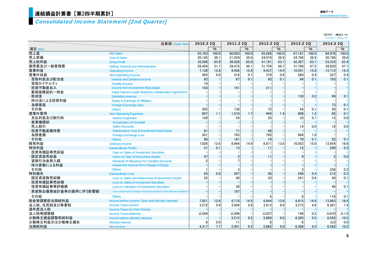#### Consolidated Income Statement [2nd Quarter]

(百万円) (構成比:%)  $(\n 4 \text{ million})$   $(Ratio: %)$ 

|                     | 決算期 Fiscal Term                                                                        | 2010.3 2Q      |       | 2011.3 20       |       | 2012.3 20    |       | 2013.3 2Q |       | 2014.3 2Q    |                          |
|---------------------|----------------------------------------------------------------------------------------|----------------|-------|-----------------|-------|--------------|-------|-----------|-------|--------------|--------------------------|
| 項目 Item             |                                                                                        |                | $\%$  |                 | $\%$  |              | %     |           | $\%$  |              | $\overline{\frac{9}{6}}$ |
| 売上高                 | <b>Net Sales</b>                                                                       | 55,743         | 100.0 | 60.063          | 100.0 | 65.266       | 100.0 | 67,181    | 100.0 | 84.079       | 100.0                    |
| 売上原価                | <b>Cost of Sales</b>                                                                   | 20.145         | 36.1  | 21,034          | 35.0  | 24,074       | 36.9  | 24,794    | 36.9  | 30.746       | 36.6                     |
| 売上総利益               | <b>Gross Profit</b>                                                                    | 35,598         | 63.9  | 39.028          | 65.0  | 41.191       | 63.1  | 42,387    | 63.1  | 53,333       | 63.4                     |
| 販売費及び一般管理費          | Selling, General and Administrative                                                    | 28,459         | 51.1  | 29,472          | 49.1  | 31.754       | 48.7  | 31,796    | 47.3  | 39.620       | 47.1                     |
| 営業利益                | <b>Operating Income</b>                                                                | 7,138          | 12.8  | 9.556           | 15.9  | 9.437        | 14.5  | 10,591    | 15.8  | 13.712       | 16.3                     |
| 営業外収益               | <b>Non-Operating Income</b>                                                            | 495            | 0.9   | 418             | 0.7   | 379          | 0.6   | 269       | 0.4   | 327          | 0.4                      |
| 受取利息及び配当金           | Interest and Dividend Income                                                           | 83             |       | 87              | 0.1   | 95           | 0.1   | 84        | 0.1   | 103          | 0.1                      |
| 受取ロイヤルティ            | <b>Royalty Income</b>                                                                  | 16             |       |                 |       |              |       |           |       |              |                          |
| 投資不動産収入             | Income from Investment Real Estate                                                     | 193            |       | 191             |       | 211          |       |           |       |              | $\overline{a}$           |
| 業務提携契約一時金           | Initial Payment under Business Collaboration Agreement                                 |                |       |                 |       |              |       |           |       |              |                          |
| 助成金                 | Subsidize revenue                                                                      |                |       |                 |       |              |       | 130       | 0.2   | 99           | 0.1                      |
| 持分法による投資利益          | <b>Equity in Earnings of Affiliates</b>                                                |                |       |                 |       |              |       |           |       |              |                          |
| 為替差益                | <b>Foreign Exchange Gain</b>                                                           |                |       |                 |       |              |       |           |       | 73           | 0.1                      |
| その他                 | <b>Others</b>                                                                          | 202            |       | 138             |       | 72           |       | 54        | 0.1   | 50           | 0.1                      |
| 営業外費用               | <b>Non-Operating Expenses</b>                                                          | 607            | 1.1   | 1.010           | 1.7   | 944          | 1.4   | 808       | 1.2   | 85           | 0.1                      |
| 支払利息及び割引料           | <b>Interest Expenses</b>                                                               | 128            |       | 54              |       | 35           |       | 33        | 0.1   | 12           | 0.0                      |
| 営業権償却               | <b>Amortization of Goodwill</b>                                                        |                |       |                 |       |              |       |           |       |              | $\overline{\phantom{0}}$ |
| 売上割引                | <b>Sales Discounts</b>                                                                 |                |       |                 |       |              |       | 19        | 0.0   | 19           | 0.0                      |
| 投資不動産維持費            | Maintenance Cost of Investment Real Estate                                             | 81             |       | 71              |       | 49           |       |           |       |              | $\qquad \qquad -$        |
| 為替差損                | <b>Foreign Exchange Loss</b>                                                           | 301            |       | 703             |       | 785          |       | 684       | 1.0   |              |                          |
| その他                 | <b>Others</b>                                                                          | 96             |       | 181             |       | 74           |       | 70        | 0.1   | 52           | 0.1                      |
| 経常利益                | <b>Ordinary Income</b>                                                                 | 7,026          | 12.6  | 8,964           | 14.9  | 8,871        | 13.6  | 10,052    | 15.0  | 13,954       | 16.6                     |
| 特別利益                | <b>Extraordinary Profits</b>                                                           | 51             | 0.1   | 13              |       | 11           |       | 12        |       | 240          | 0.3                      |
| 投資有価証券売却益           | <b>Gain on Sales of Investment Securities</b>                                          |                |       |                 |       |              |       |           |       |              |                          |
| 固定資産売却益             | <b>Gains on Sale of Noncurrent Assets</b>                                              | 47             |       | 2               |       | 11           |       |           |       |              | 0.0                      |
| 貸倒引当金戻入額            | <b>Reversal of Allowance for Doubtful Accounts</b>                                     | $\mathfrak{p}$ |       |                 |       |              |       |           |       |              |                          |
| 持分変動による利益           | Investment Income from Change of Equity                                                |                |       |                 |       |              |       |           |       |              | ÷                        |
| その他                 | <b>Others</b>                                                                          |                |       | 3               |       |              |       |           |       | 238          | 0.3                      |
| 特別損失                | <b>Extraordinary Loss</b>                                                              | 25             | 0.0   | 267             |       | 38           |       | 249       | 0.4   | 212          | 0.3                      |
| 固定資産除売却損            | Loss on Sales and Retirement of Noncurrent Assets                                      | 25             |       | 40              |       | 33           |       | 241       | 0.4   | 49           | 0.1                      |
| 投資有価証券売却損           | <b>Loss on Sales of Investment Securities</b>                                          |                |       |                 |       |              |       |           |       |              | $\overline{\phantom{0}}$ |
| 投資有価証券等評価損          | <b>Loss on Valuation of Investment Securities</b>                                      |                |       | 39              |       |              |       |           |       | 46           | 0.1                      |
| 資産除去債務会計基準の適用に伴う影響額 | Loss on Adjustment for Changes of Accounting Standard for Asset Retirement Obligations |                |       | 187             |       |              |       |           |       |              | $\overline{\phantom{0}}$ |
| その他                 | <b>Others</b>                                                                          |                |       |                 |       |              |       |           |       | 116          | 0.1                      |
| 税金等調整前当期純利益         | Income before Income Taxes and Minority Interests                                      | 7.051          | 12.6  | 8.710           | 14.5  | 8.844        | 13.6  | 9,815     | 14.6  | 13.983       | 16.6                     |
| 法人税、住民税及び事業税        | <b>Income Taxes-current</b>                                                            | 3.272          | 5.9   | 3.504           | 5.8   | 3.913        | 6.0   | 3,273     | 4.9   | 6.261        | 7.4                      |
| 過年度法人税              | <b>Income Taxes for Prior Periods</b>                                                  |                |       |                 |       |              |       |           |       |              |                          |
| 法人税等調整額             | <b>Income Taxes-deferred</b>                                                           | $\Delta$ 544   |       | $\triangle$ 306 |       | $\Delta$ 937 |       | 146       | 0.2   | $\Delta 870$ | $\Delta$ 1.0             |
| 少数株主損益調整前純利益        | <b>Income before Minority Interests</b>                                                |                |       | 5,512           | 9.2   | 5,868        | 9.0   | 6,395     | 9.5   | 8,592        | 10.2                     |
| 少数株主利益又は少数株主損失      | <b>Minority Interest</b>                                                               |                | 0.0   | -11             |       | 6            |       | 6         |       | $\Delta 0$   | 0.0                      |
| 当期純利益               | Net Income                                                                             | 4.317          | 7.7   | 5.501           | 9.2   | 5,862        | 9.0   | 6.388     | 9.5   | 8.592        | 10.2                     |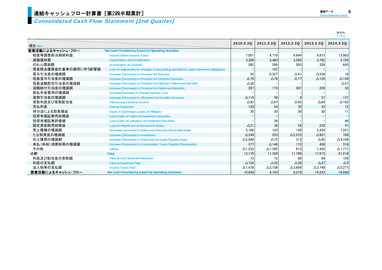Consolidated Cash Flow Statement [2nd Quarter]

|                              |                                                                                        |                       |                 |                |                   | (百万円)<br>(¥ million) |
|------------------------------|----------------------------------------------------------------------------------------|-----------------------|-----------------|----------------|-------------------|----------------------|
| 項目 Item                      |                                                                                        | 2010.3 2Q             | 2011.3 20       | 2012.3 20      | 2013.3 20         | 2014.3 20            |
| 営業活動によるキャッシュ・フロー             | Net Cash Provided by (Used in) Operating Activities                                    |                       |                 |                |                   |                      |
| 税金等調整前当期純利益                  | Income before Income Taxes                                                             |                       |                 | 8.844          |                   | 13.983               |
| 減価償却費                        | <b>Depreciation and Amortization</b>                                                   | 7.051<br>3.309        | 8.710<br>3,483  | 3,565          | 9,815<br>3.782    | 4.720                |
| のれん償却額                       | <b>Amortization of Goodwill</b>                                                        | 282                   | 299             | 505            | 329               | 645                  |
| 資産除去債務会計基準の適用に伴う影響額          | Loss on adjustment for changes of accounting standard for asset retirement obligations |                       | 187             |                |                   |                      |
| 賞与引当金の増減額                    | Increase (Decrease) in Provision for Bonuses                                           | 52                    | $\triangle$ 327 | $\triangle$ 41 | $\Delta$ 538      | 16                   |
| 役員賞与引当金の増減額                  | Increase (Decrease) in Provision for Directors' Bonuses                                | $\Delta$ 79           | $\Delta$ 76     | $\Delta$ 77    | $\triangle$ 129   | $\triangle$ 144      |
|                              | Increase (Decrease) in Provision for Directors' Retirement Benefits                    |                       |                 |                |                   | $\Delta$ 57          |
| 役員退職慰労引当金の増減額<br>退職給付引当金の増減額 | Increase (Decrease) in Provision for Retirement Benefits                               | $\triangle 36$<br>297 | 173             | 307            |                   | 32                   |
|                              |                                                                                        |                       |                 |                | 226               |                      |
| 前払年金費用の増減額                   | Increase/Decrease in Prepaid Pension Cost                                              |                       |                 |                |                   |                      |
| 貸倒引当金の増減額                    | Increase (Decrease) in Allowance for Doubtful Accounts                                 | $\Delta$ 118          | 38              | 4              | 57                | 137                  |
| 受取利息及び受取配当金                  | Interest and Dividend Income                                                           | $\triangle$ 83        | $\triangle 87$  | $\Delta$ 95    | $\triangle 84$    | $\Delta$ 103         |
| 支払利息                         | <b>Interest Expenses</b>                                                               | 128                   | 54              | 35             | 33                | 12                   |
| 持分法による投資損益                   | Equity in (Earnings) Losses of Affiliates                                              | 30                    | 30              | 30             | 30 <sup>l</sup>   | 11                   |
| 投資有価証券売却損益                   | Loss (Gain) on Sales of Investment Securities                                          |                       |                 |                |                   | $\qquad \qquad -$    |
| 投資有価証券評価損                    | Loss (Gain) on valuation of Investment Securities                                      |                       | 39              |                |                   | 46                   |
| 固定資産除売却損益                    | <b>Loss on Retirement of Noncurrent Assets</b>                                         | $\Delta$ 21           | 38              | 22             | 232               | 47                   |
| 売上債権の増減額                     | Decrease (Increase) in Notes and Accounts Receivable-trade                             | 5.108                 | 123             | 139            | 3.324             | 7.551                |
| たな卸資産の増減額                    | Increase (Decrease) in Inventories                                                     | $\triangle$ 249       | 253             | $\Delta$ 2.572 | $\Delta$ 951      | 109                  |
| 仕入債務の増減額                     | Increase (Decrease) in Notes and Accounts Payable-trade                                | $\Delta$ 2,846        | $\triangle$ 72  | 313            | $\triangle$ 95    | $\Delta$ 4,338       |
| 未払(未収)消費税等の増減額               | Increase (Decrease) in Consumption Taxes Payable (Receivable)                          | 577                   | $\Delta$ 146    | 172            | 450               | 318                  |
| その他                          | <b>Others</b>                                                                          | $\Delta$ 1.232        | $\Delta$ 1,392  | 613            | 1,432             | $\Delta$ 1.771       |
| 小計                           | <b>Total</b>                                                                           | 12.170                | 11,329          | 11,766         | 17.915            | 21.218               |
| 利息及び配当金の受取額                  | <b>Interest and Dividends Received</b>                                                 | 73                    | 72              | 86             | 84                | 105                  |
| 利息の支払額                       | <b>Interest Expenses Paid</b>                                                          | $\Delta$ 126          | $\Delta$ 52     | $\triangle$ 29 | $\triangle$ 27    | $\Delta$ 5           |
| 法人税等の支払額                     | <b>Income Taxes Paid</b>                                                               | $\triangle$ 1.478     | $\Delta$ 3,156  | $\Delta$ 3.604 | $\triangle$ 3.748 | $\Delta$ 5.277       |
| 営業活動によるキャッシュ・フロー             | Net Cash Provided by (Used in) Operating Activities                                    | 10.640                | 8.193           | 8.219          | 14.223            | 16.040               |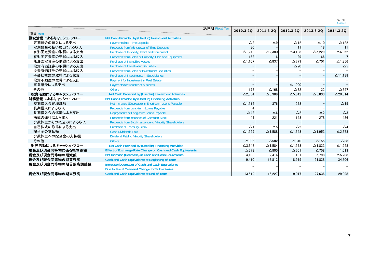|                   |                                                             | 決算期 Fiscal Term |                 |                 |                 |                |                 |
|-------------------|-------------------------------------------------------------|-----------------|-----------------|-----------------|-----------------|----------------|-----------------|
| 項目 Item           |                                                             |                 | 2010.3 2Q       | 2011.3 2Q       | 2012.3 20       | 2013.3 2Q      | 2014.3 2Q       |
| 投資活動によるキャッシュ・フロー  | Net Cash Provided by (Used in) Investment Activities        |                 |                 |                 |                 |                |                 |
| 定期預金の預入による支出      | <b>Payments into Time Deposits</b>                          |                 | $\triangle$ 2   | $\triangle$ 9   | $\triangle$ 12  | $\Delta$ 10    | $\triangle$ 122 |
| 定期預金の払い戻しによる収入    | Proceeds from Withdrawal of Time Deposits                   |                 | 30              |                 | 11              | 18             |                 |
| 有形固定資産の取得による支出    | Purchase of Property, Plant and Equipment                   |                 | $\Delta$ 1,749  | $\Delta$ 2,380  | $\Delta$ 3,138  | $\Delta$ 5,229 | $\Delta 6,862$  |
| 有形固定資産の売却による収入    | Proceeds from Sales of Property, Plan and Equipment         |                 | 152             |                 | 29              | 66             |                 |
| 無形固定資産の取得による支出    | <b>Purchase of Intangible Assets</b>                        |                 | $\Delta$ 1.107  | $\triangle$ 837 | $\Delta$ 779    | $\Delta$ 701   | $\Delta$ 1,856  |
| 投資有価証券の取得による支出    | <b>Purchase of Investment Securities</b>                    |                 |                 |                 | $\triangle$ 20  |                | $\Delta$ 5      |
| 投資有価証券の売却による収入    | <b>Proceeds from Sales of Investment Securities</b>         |                 |                 |                 |                 |                |                 |
| 子会社株式の取得による収支     | <b>Purchase of Investments in Subsidiaries</b>              |                 |                 |                 |                 |                | $\Delta$ 11,138 |
| 投資不動産の取得による支出     | Payment for Investment in Real Estate                       |                 |                 |                 |                 |                |                 |
| 事業譲受による支出         | Payments for transfer of business                           |                 |                 |                 | $\Delta$ 1,900  |                |                 |
| その他               | <b>Others</b>                                               |                 | 172             | $\Delta$ 168    | $\triangle$ 32  | 22             | $\triangle$ 347 |
| 投資活動によるキャッシュ・フロー  | Net Cash Provided by (Used in) Investment Activities        |                 | $\Delta$ 2,504  | $\Delta$ 3,389  | $\Delta$ 5,842  | $\Delta$ 5.833 | $\Delta$ 20,314 |
| 財務活動によるキャッシュ・フロー  | Net Cash Provided by (Used in) Financing Activities         |                 |                 |                 |                 |                |                 |
| 短期借入金純増減額         | Net Increase (Decrease) in Short-term Loans Payable         |                 | $\Delta$ 1,514  | 376             | 273             |                | $\Delta$ 15     |
| 長期借入による収入         | Proceeds from Long-term Loans Payable                       |                 |                 |                 |                 |                |                 |
| 長期借入金の返済による支出     | Repayments of Long-term Loans Payable                       |                 | $\triangle$ 42  | $\Delta 6$      | $\triangle$ 2   | $\triangle$ 2  | $\triangle 3$   |
| 株式の発行による収入        | Proceeds from Issuance of Common Stock                      |                 | 41              | 221             | 143             | 278            | 486             |
| 少数株主からの払込みによる収入   | Proceeds from Stock Issuance to Minority Shareholders       |                 |                 |                 |                 |                |                 |
| 自己株式の取得による支出      | <b>Purchase of Treasury Stock</b>                           |                 | $\Delta$ 1      | $\Delta$ 5      | $\triangle$ 2   |                | $\triangle$ 4   |
| 配当金の支払額           | <b>Cash Dividends Paid</b>                                  |                 | $\Delta$ 1,329  | $\Delta$ 1,588  | $\Delta$ 1,643  | $\Delta$ 1,953 | $\Delta$ 2,373  |
| 少数株主への配当金の支払額     | <b>Dividend Paid to Minority Shareholders</b>               |                 |                 |                 |                 |                |                 |
| その他               | <b>Others</b>                                               |                 | $\Delta 806$    | $\Delta$ 582    | $\triangle$ 340 | $\Delta$ 155   | $\triangle$ 38  |
| 財務活動によるキャッシュ・フロー  | Net Cash Provided by (Used in) Financing Activities         |                 | $\Delta$ 3,648  | $\Delta$ 1,584  | $\Delta$ 1,573  | $\Delta$ 1.833 | $\Delta$ 1,948  |
| 現金及び現金同等物に係る換算差額  | Effect of Exchange Rate Change on Cash and Cash Equivalents |                 | $\triangle$ 378 | $\triangle$ 805 | $\Delta$ 701    | $\Delta$ 758   | 1.013           |
| 現金及び現金同等物の増減額     | Net Increase (Decrease) in Cash and Cash Equivalents        |                 | 4,108           | 2.414           | 101             | 5.798          | $\Delta$ 5,208  |
| 現金及び現金同等物の期首残高    | Cash and Cash Equivalents at Beginning of Term              |                 | 9.410           | 13,812          | 18,915          | 21.838         | 34,306          |
| 現金及び現金同等物の期首残高調整額 | Increase (Decrease) of Cash and Cash Equivalents            |                 |                 |                 |                 |                |                 |
|                   | Due to Fiscal Year-end Change for Subsidiaries              |                 |                 |                 |                 |                |                 |
| 現金及び現金同等物の期末残高    | Cash and Cash Equivalents at End of Term                    |                 | 13.519          | 16.227          | 19.017          | 27.636         | 29.098          |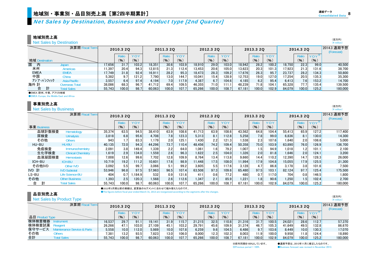#### Net Sales by Destination, Business and Product type [2nd Quarte r]

地域別売上高

Net Sales by Destination

|                    | Net Sales by Destination |        |           |       |        |           |       |         |           |            |        |           |       |        |           |                      | $(*$ million)             |
|--------------------|--------------------------|--------|-----------|-------|--------|-----------|-------|---------|-----------|------------|--------|-----------|-------|--------|-----------|----------------------|---------------------------|
|                    | 決算期 Fiscal Term          |        | 2010.3 2Q |       |        | 2011.3 20 |       |         | 2012.3 20 |            |        | 2013.3 2Q |       |        | 2014.3 20 |                      | 2014.3 通期予想<br>(Forecast) |
|                    |                          |        | Ratio     | YOY   |        | Ratio     | YOY   |         | Ratio     | <b>YOY</b> |        | Ratio     | YOY   |        | Ratio     | $YOY^*$              |                           |
| 地域 Destination     |                          |        | (% )      | (% )  |        | (9)       | (96)  |         | (%)       | (% )       |        | (% )      | (9)   |        | (9)       | (% )                 |                           |
| 国<br>内             | Japan                    | 17.656 | 31.7      | 103.2 | 18.351 | 30.6      | 103.9 | 18.910  | 29.0      | 103.0      | 18.942 | 28.2      | 100.2 | 18.750 | 22.3      | 99.0                 | 40.500                    |
| 米州                 | Americas                 | 1.397  | 20.4      | 94.3  | 12.815 | 21.3      | 112.4 | 13.4531 | 20.6      | 105.0      | 13,623 | 20.3      | 101.3 | 17,923 | 21.3      | 131.6I               | 38,700                    |
| <b>EMEA</b>        | <b>EMEA</b>              | 17,749 | 31.8      | 92.4  | 16,911 | 28.2      | 95.3  | 18,473  | 28.3      | 109.2      | 17,676 | 26.3      | 95.7  | 23,737 | 28.2      | 134.3                | 50,800                    |
| 中国                 | China                    | 5,382  | 9.7       | 121.2 | 7.790  | 13.0      | 144.7 | 10.041  | 15.4      | 128.9      | 12.753 | 19.0      | 127.0 | 17.254 | 20.5      | 135.3 <mark>I</mark> | 35,300                    |
| アジア・パシフィック         | Asia-Pacific             | 3.557  | 6.4       | 97.4  | 4.194  | 7.0       | 117.9 | 4.387   | 6.7       | 104.6      | 4.185  | 6.2       | 95.4  | 6.413  | 7.6       | 153.2                | 14.700                    |
| 海外 計               | <b>Overseas Total</b>    | 38,086 | 68.3      | 96.7  | 41.712 | 69.4      | 109.5 | 46.355  | 71.0      | 111.1      | 48.239 | 71.8      | 104.7 | 65.328 | 77.7      | 135.4                | 139.500                   |
| 計<br>合             | <b>Total Sales</b>       | 55.743 | 100.0     | 98.7  | 60.063 | 100.0     | 107.7 | 65.266  | 100.0     | 108.7      | 67.181 | 100.0     | 102.9 | 84.079 | 100.0     | 125.2                | 180,000                   |
| 金石石石 网络树 击击 双三甲基硝基 |                          |        |           |       |        |           |       |         |           |            |        |           |       |        |           |                      |                           |

●EMEA:欧州、中東、アフリカ地域

●EMEA: Europe, the Middle East and Africa

#### 事業別売上高

Net Sales by Business

|             | 決算期 Fiscal Term           |        | 2010.3 2Q        |            |        | 2011.3 20        |       |        | 2012.3 20        |        |        | 2013.3 2Q |            |        | 2014.3 20        |         | 2014.3 通期予想<br>(Forecast) |
|-------------|---------------------------|--------|------------------|------------|--------|------------------|-------|--------|------------------|--------|--------|-----------|------------|--------|------------------|---------|---------------------------|
|             |                           |        | Ratio            | <b>YOY</b> |        | Ratio            | YOY   |        | Ratio            | YOY    |        | Ratio     | <b>YOY</b> |        | Ratio            | $YOY^*$ |                           |
| 事業 Business |                           |        | (96)             | (9)        |        | (9)              | (% )  |        | (%)              | (9)    |        | (9)       | (9)        |        | (9)              | (% )    |                           |
| 血球計数検査      | Hematology                | 35.374 | 63.5             | 94.5       | 38.410 | 63.9             | 108.6 | 41.713 | 63.9             | 108.6  | 43,562 | 64.8      | 104.4      | 55.413 | 65.9             | 127.2   | 117,400                   |
| 尿検査         | <b>Urinalysis</b>         | 3.818  | 6.8              | 95.6       | 4.708  | 7.8              | 123.3 | 5.313  | 8.1              | 112.8  | 5,258  | 7.8       | 99.0       | 6.836  | 8.1              | 130.0   | 14.300                    |
| その他         | <b>Others</b>             | 943    | 1.7              | 83.3       | 1.179  | 2.0 <sub>1</sub> | 125.1 | 1.430  | 2.2              | 121.31 | 1.538  | 2.3       | 107.6      | 1.640  | 2.0              | 106.6   | 5.000                     |
| HU-BU       | HU-BU                     | 40.135 | 72.0             | 94.3       | 44,296 | 73.7             | 110.4 | 48.456 | 74.2             | 109.4  | 50,358 | 75.0      | 103.9      | 63.890 | 76.0             | 126.9   | 136.700                   |
| 免疫検査        | Immunochemistry           | 2.091  | 3.8              | 149.4      | 1.339  | 2.2              | 64.0  | 1.061  | 1.6 <sub>1</sub> | 79.2   | 1,007  | 1.5       | 94.9       | 1.018  | 1.2 <sub>l</sub> | 101.1   | 2.100                     |
| 生化学検査       | <b>Clinical Chemistry</b> | 1.619  | 2.9              | 134.0      | 1.559  | 2.6              | 96.3  | 1,622  | 2.5              | 104.0  | 1,326  | 2.0       | 81.8       | 1.646  | 2.0              | 124.1   | 3.200                     |
| 血液凝固検査      | <b>Hemostasis</b>         | 7.008  | 12.6             | 99.6       | 7.702  | 12.8             | 109.9 | 8.764  | 13.4             | 113.8  | 9.660  | 14.4      | 110.2      | 12.390 | 14.7             | 128.3   | 26,000                    |
| ICH-BU      | <b>ICH-BU</b>             | 10.719 | 19.2             | 111.2      | 10.601 | 17.6             | 98.9  | 11.448 | 17.5             | 108.0  | 11.994 | 17.9      | 104.8      | 15.055 | 17.9             | 125.5   | 31,300                    |
| その他IVD      | Other IVD                 | 3.092  | 5.5              | 99.7       | 3,066  | 5.1              | 99.2  | 3.605  | 5.5              | 117.6  | 3,128  | 4.7       | 86.8       | 3.178  | 3.8              | 101.6   | 7.500                     |
| IVD 計       | <b>IVD Subtotal</b>       | 53,946 | 96.8             | 97.5       | 57,963 | 96.5             | 107.4 | 63,508 | 97.3             | 109.6  | 65,480 | 97.5      | 103.1      | 82.124 | 97.7             | 125.4   | 175,500                   |
| LS-BU       | Life Science-BU           | 404    | 0.7 <sup>1</sup> | .184.9     | 532    | 0.9              | 131.6 | 411    | 0.6              | 77.2   | 480    | 0.7       | 117.0      | 704    | 0.8              | 146.5   | 1,800                     |
| その他         | <b>Other Business</b>     | 1.393  | 2.5              | 120.3      | 1,568  | 2.6              | 112.6 | 1.347  | 2.1              | 85.9   | 1,221  | 1.8       | 90.6       | 1,250  | 1.5              | 102.4   | 2.700                     |
| 計<br>合      | <b>Total Sales</b>        | 55.743 | 100.0            | 98.7       | 60,063 | 100.0            | 107.7 | 65,266 | 100.0            | 108.7  | 67,181 | 100.0     | 102.9      | 84,079 | 100.0            | 125.2   | 180,000                   |

●2013年3月期以前の実績は、変更後のセグメントに合わせて組み替えたものです。

●The figures before fiscal year ended March 31, 2013 are reorganized according to the segments after the changes.

#### 品目別売上高

**Net Sales by Product Type** 

|                 | Net Sales by Product Type   |        |           |       |        |           |       |        |           |       |        |           |       |        |           |                      | $(4$ million)             |
|-----------------|-----------------------------|--------|-----------|-------|--------|-----------|-------|--------|-----------|-------|--------|-----------|-------|--------|-----------|----------------------|---------------------------|
|                 | 決算期 Fiscal Term             |        | 2010.3 2Q |       |        | 2011.3 20 |       |        | 2012.3 20 |       |        | 2013.3 2Q |       |        | 2014.3 20 |                      | 2014.3 通期予想<br>(Forecast) |
|                 |                             |        | Ratio     | YOY   |        | Ratio     | YOY   |        | Ratio     | YOY   |        | Ratio     | YOY   |        | Ratio     |                      |                           |
| 品目 Product Type |                             |        | (9)       | (9)   |        | (%)       | (9)   |        | (9)       | (9)   |        | (%)       | (9)   |        | (96)      | (9)                  |                           |
| 検体検査機器          | nstrument                   | 16.537 | 29.7      | 91.1  | 19.141 | 31.9      | 15.7  | 21.215 | 32.5      | 110.8 | 21.316 | 31.7      | 100.5 | 24.021 | 28.6      | 112.7                | 57.370                    |
| 検体検査試薬          | Readent                     | 26.266 | 47.1      | 103.0 | 27.109 | 45.1      | 103.2 | 29.791 | 45.6      | 109.9 | 31.374 | 46.7      | 105.3 | 41,649 | 49.5      | 132.8                | 86.670                    |
| 保守サービス          | Maintenance Service & Parts | 5,558  | 10.0      | 112.0 | 5.989  | 10.0      | 107.8 | 6.259  | 9.6       | 104.5 | 6,486  | 9.7       | 103.6 | 8.449  | 10.0      | 130.3 <mark> </mark> | 17.070                    |
| その他             | Others                      | 7.381  | 13.2      | 93.5  | 1.823  | 13.0      | 106.0 | 8.000  | 12.3      | 102.3 | 8.003  | 11.9      | 100.0 | 9,958  | 11.8      | 124.4                | 18,890                    |
| 合計              | <b>Total Sales</b>          | 55.743 | 100.0     | 98.7  | 60.063 | 100.0     | 107.7 | 65.266 | 100.0     | 108.7 | 67.181 | 100.01    | 102.9 | 84.079 | 100.0     | 125.2                | 180,000                   |

※前年同期を100%としています。 ●通期予想は、2013年11月に修正したものです。 ※Previous period = 100% ●Business forecast was revised in November 2013.

(百万円)

(百万円)  $(\frac{V}{I})$  million)

(百万円)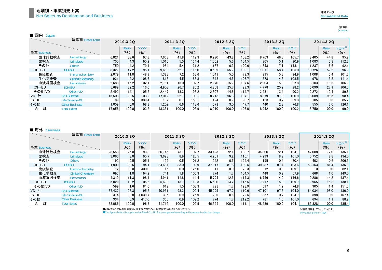(百万円)<br>(¥ million)

| 闲内 | an an |
|----|-------|
|----|-------|

|             | 決算期 Fiscal Term           |        | 2010.3 20 |       |        | 2011.3 2Q |        |        | 2012.3 20 |            |        | 2013.3 20 |       |        | 2014.3 20 |       |
|-------------|---------------------------|--------|-----------|-------|--------|-----------|--------|--------|-----------|------------|--------|-----------|-------|--------|-----------|-------|
|             |                           |        | Ratio     | YOY   |        | Ratio     | YOY    |        | Ratio     | <b>YOY</b> |        | Ratio     | YOY   |        | Ratio     | YOY   |
| 事業 Business |                           |        | (9)       | (9)   |        | (%)       | (%)    |        | (%)       | (%)        |        | (% )      | (%)   |        | (9)       | (9)   |
| 血球計数検査      | Hematology                | 6,821  | 38.6      | 97.3  | 7.663  | 41.8      | 112.3  | 8.290  | 43.8      | 108.2      | 8.763  | 46.3      | 105.7 | 8,405  | 44.8      | 95.9  |
| 尿検査         | <b>Urinalysis</b>         | 755    | 4.3       | 95.2  | 1.016  | 5.5       | 134.4  | 1.062  | 5.6       | 104.5      | 965    | 5.1       | 90.9  | 1.083  | 5.8       | 112.3 |
| その他         | Others                    | 750    | 4.2       | 79.1  | 984    | 5.4       | 131.21 | 1.187  | 6.3       | 120.6      | 1.343  |           | 113.1 | 1.237  | 6.6       | 92.1  |
| HU-BU       | HU-BU                     | 8,327  | 47.2      | 95.1  | 9.663  | 52.7      | 116.0  | 10.539 | 55.7      | 109.1      | 11.071 | 58.4      | 105.0 | 10.726 | 57.2      | 96.9  |
| 免疫検査        | Immunochemistry           | 2.079  | 11.8      | 148.9 | 1.323  | 7.2       | 63.6   | 1.049  | 5.5       | 79.3       | 995    | 5.3       | 94.9  | 1.008  | 5.4       | 101.3 |
| 生化学検査       | <b>Clinical Chemistry</b> | 921    | 5.2       | 108.6 | 818    | 4.5       | 88.8   | 848    | 4.5       | 103.7      | 878    | 4.6       | 103.5 | 978    | 5.2       | 111.4 |
| 血液凝固検査      | <b>Hemostasis</b>         | 2,688  | 15.2      | 102.1 | 2.761  | 15.0      | 102.7  | 2,970  | 15.7      | 107.6      | 2,904  | 15.3      | 97.8  | 3.103  | 16.6      | 106.9 |
| ICH-BU      | <b>ICH-BU</b>             | 5.689  | 32.2      | 116.6 | 4.903  | 26.7      | 86.2   | 4.868  | 25.7      | 99.3       | 4.778  | 25.2      | 98.2  | 5.090  | 27.1      | 106.5 |
| その他IVD      | Other IVD                 | 2.492  | 14.1      | 105.2 | 2.447  | 13.3      | 98.2   | 2.807  | 14.8      | 114.7      | 2.531  | 13.4      | 90.2  | 2.272  | 12.1      | 89.8  |
| IVD 計       | <b>IVD Subtotal</b>       | 16.508 | 93.5      | 103.2 | 17.012 | 92.7      | 103.1  | 18.213 | 96.3      | 107.1      | 18.379 | 97.0      | 100.9 | 18.089 | 96.5      | 98.4  |
| LS-BU       | Life Science-BU           | 89     | 0.5       | 339.4 | 137    | 0.7       | 153.1  | 124    | 0.7       | 90.7       | 123    | 0.7       | 99.3  | 105    | 0.6       | 85.2  |
| その他         | <b>Other Business</b>     | 1.059  | 6.0       | 98.3  | 1.202  | 6.6       | 113.6  | 573    | 3.0       | 47.7       | 440    | 2.31      | 76.8  | 555    | 3.0       | 126.1 |
| 計<br>合      | <b>Total Sales</b>        | 17.656 | 100.0     | 103.2 | 18.351 | 100.0     | 103.9  | 18.910 | 100.0     | 103.0      | 18.942 | 100.0     | 100.2 | 18.750 | 100.0     | 99.0  |

#### ■ 海外 Overseas

|             | 決算期 Fiscal Term           |        | 2010.3 2Q |           |        | 2011.3 2Q |            |        | 2012.3 20        |       |        | 2013.3 20        |       |        | 2014.3 20 |         |
|-------------|---------------------------|--------|-----------|-----------|--------|-----------|------------|--------|------------------|-------|--------|------------------|-------|--------|-----------|---------|
|             |                           |        | Ratio     | YOY       |        | Ratio     | <b>YOY</b> |        | Ratio            | YOY   |        | Ratio            | YOY   |        | Ratio     | $YOY^*$ |
| 事業 Business |                           |        | (9)       | $($ % $)$ |        | (%)       | (% )       |        | (9)              | (9)   |        | (%)              | (%)   |        | (%)       | (9)     |
| 血球計数検査      | Hematology                | 28,553 | 75.0      | 93.8      | 30.746 | 73.7      | 107.7      | 33.423 | 72.1             | 108.7 | 34,800 | 72.1             | 104.1 | 47,008 | 72.0      | 135.1   |
| 尿検査         | <b>Urinalysis</b>         | 3.063  | 8.0       | 95.7      | 3.693  | 8.9       | 120.5      | 4.251  | 9.2              | 115.1 | 4.293  | 8.9              | 101.0 | 5,752  | 8.8       | 134.0   |
| その他         | <b>Others</b>             | 192    | 0.5       | 105.1     | 195    | 0.5       | 101.2      | 242    | 0.5              | 124.4 | 195    | 0.4              | 80.4  | 402    | 0.6       | 206.5   |
| HU-BU       | <b>HU-BU</b>              | 31.809 | 83.5      | 94.1      | 34.634 | 83.0      | 108.9      | 37.917 | 81.8             | 109.5 | 39.287 | 81.4             | 103.6 | 53.163 | 81.4      | 135.3   |
| 免疫検査        | Immunochemistry           | 12     | 0.0       | 400.0     | 15     | 0.0       | 125.0      |        | 0.0              | 73.3  | 12     | 0.0              | 109.1 | 10     | 0.0       | 82.1    |
| 生化学検査       | <b>Clinical Chemistry</b> | 697    | 1.8       | 194.2     | 741    | 1.8       | 106.3      | 774    | 1.7              | 104.5 | 448    | 0.9              | 57.9  | 668    | 1.0       | 149.0   |
| 血液凝固検査      | <b>Hemostasis</b>         | 4.319  | 11.3      | 98.1      | 4.941  | 11.8      | 114.4      | 5.794  | 12.5             | 117.3 | 6.756  | 14.0             | 116.6 | 9.286  | 14.2      | 137.4   |
| ICH-BU      | <b>ICH-BU</b>             | 5.029  | 13.2      | 105.6     | 5.698  | 13.7      | 113.3      | 6.580  | 14.2             | 115.5 | 7.217  | 15.0             | 109.7 | 9.965  | 15.3      | 138.1   |
| その他IVD      | <b>Other IVD</b>          | 599    | 1.6       | 81.6      | 619    | 1.5       | 103.3      | 798    | 1.7              | 128.9 | 597    | 1.2              | 74.8  | 905    | 1.4       | 151.5   |
| IVD 計       | <b>IVD Subtotal</b>       | 37.437 | 98.3      | 95.2      | 40,951 | 98.2      | 109.4      | 45,295 | 97.7             | 110.6 | 47.101 | 97.6             | 104.0 | 64.034 | 98.0      | 136.0   |
| LS-BU       | <b>Life Science-BU</b>    | 314    | 0.8       | 4.039.7   | 395    | 0.9       | 125.9      | 286    | 0.6              | 72.5  | 357    | 0.7              | 124.7 | 598    | 0.9       | 167.4   |
| その他         | <b>Other Business</b>     | 334    | 0.9       | 417.0     | 365    | 0.9       | 109.2      | 774    | 1.7 <sub>1</sub> | 212.2 | 781    | 1.6 <sub>1</sub> | 101.0 | 694    | 1.1       | 88.9    |
| 計<br>合      | <b>Total Sales</b>        | 38,086 | 100.0     | 96.7      | 41.712 | 100.0     | 109.5      | 46,355 | 100.0            | 111.1 | 48.239 | 100.0            | 104.1 | 65,328 | 100.0     | 135.4   |

●2013年3月期以前の実績は、変更後のセグメントに合わせて組み替えたものです。 ●The figures before fiscal year ended March 31, 2013 are reorganized according to the segments after the changes. ※Previous period = 100% ※前年同期を100%としています。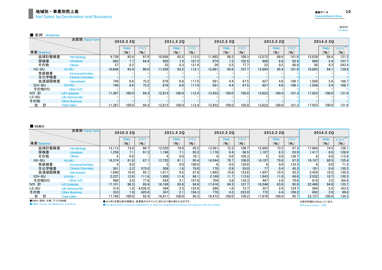■ 米州 Americas

|             | 決算期 Fiscal Term           |        | 2010.3 2Q |      |        | 2011.3 20 |            |        | 2012.3 20 |       |        | 2013.3 20 |       |        | 2014.3 20 |            |
|-------------|---------------------------|--------|-----------|------|--------|-----------|------------|--------|-----------|-------|--------|-----------|-------|--------|-----------|------------|
|             |                           |        | Ratio     | YOY  |        | Ratio     | <b>YOY</b> |        | Ratio     | YOY   |        | Ratio     | YOY   |        | Ratio     | <b>YOY</b> |
| 事業 Business |                           |        | (9)       | (% ) |        | (96)      | (9)        |        | (96)      | (% )  |        | (% )      | (%)   |        | (9)       | $(\% )$    |
| 血球計数検査      | Hematology                | 9.738  | 85.4      | 97.0 | 10.956 | 85.5      | 112.5      | 11.862 | 88.2      | 108.3 | 12.072 | 88.6      | 101.8 | 15,839 | 88.4      | 131.2      |
| 尿検査         | <b>Urinalysis</b>         | 883    | 7.7       | 84.4 | 950    | 7.4       | 107.5      | 974    | 7.2       | 102.5 | 900    | 6.6       | 92.4  | 969    | 5.4       | 107.7      |
| その他         | <b>Others</b>             | 27     | 0.2       |      | 33     | 0.3       | 121.9      | 26     | 0.2       | 77.7  | 23     | 0.2       | 88.8  | 56     | 0.3       | 243.4      |
| HU-BU       | HU-BU                     | 10.648 | 93.4      | 96.0 | 11.939 | 93.2      | 112.1      | 12.861 | 95.6      | 107.7 | 12.995 | 95.4      | 101.0 | 16,865 | 94.1      | 129.8      |
| 免疫検査        | Immunochemistry           |        |           |      |        |           |            |        |           |       |        |           |       |        |           |            |
| 生化学検査       | <b>Clinical Chemistry</b> |        |           |      |        |           |            |        |           |       |        |           |       |        |           |            |
| 血液凝固検査      | <b>Hemostasis</b>         | 749    | 6.6       | 75.2 | 876    | 6.8       | 117.0      | 591    | 4.4       | 67.5  | 627    | 4.6       | 106.1 | 1,058  | 5.9       | 168.7      |
| ICH-BU      | <b>ICH-BU</b>             | 749    | 6.6       | 75.2 | 876    | 6.8       | 117.0      | 591    | 4.4       | 67.5  | 627    | 4.6       | 106.1 | 1,058  | 5.9       | 168.7      |
| その他IVD      | Other IVD                 |        |           |      |        |           |            |        |           |       |        |           |       |        |           |            |
| IVD 計       | <b>IVD Subtotal</b>       | 11.397 | 100.0     | 94.3 | 12.815 | 100.0     | 112.4      | 13.453 | 100.0     | 105.0 | 13.623 | 100.0     | 101.3 | 17,923 | 100.0     | 131.6      |
| LS-BU       | <b>Life Science-BU</b>    |        |           |      |        |           |            |        |           |       |        |           |       |        |           |            |
| その他         | <b>Other Business</b>     |        |           |      |        |           |            |        |           |       |        |           |       |        |           |            |
| 計<br>合      | <b>Total Sales</b>        | 11.397 | 100.0     | 94.3 | 12.815 | 100.0     | 112.4      | 13.453 | 100.0     | 105.0 | 13.623 | 100.0     | 101.3 | 7.923  | 100.0     | 131.6      |

■ EMEA

|             | 決算期 Fiscal Term           |        | 2010.3 2Q |         |        | 2011.3 2Q |       |        | 2012.3 20 |       |        | 2013.3 2Q |       |        | 2014.3 20 |         |
|-------------|---------------------------|--------|-----------|---------|--------|-----------|-------|--------|-----------|-------|--------|-----------|-------|--------|-----------|---------|
|             |                           |        | Ratio     | YOY     |        | Ratio     | YOY   |        | Ratio     | YOY   |        | Ratio     | YOY   |        | Ratio     | $YOY^*$ |
| 事業 Business |                           |        | $($ % $)$ | (9)     |        | (%)       | (%)   |        | (%)       | (%)   |        | (9)       | (%)   |        | (%)       | (%)     |
| 血球計数検査      | Hematology                | 13.113 | 73.9      | 86.7    | 12,520 | 74.0      | 95.5  | 13.361 | 72.3      | 106.7 | 12.995 | 73.5      | 97.3  | 17.684 | 74.5      | 136.1   |
| 尿検査         | <b>Urinalysis</b>         | 1,256  | 7.1       | 91.5    | 1.196  | 7.1       | 95.2  | 1.178  | 6.4       | 98.5  | 1.107  | 6.3       | 93.9  | 1.417  | 6.0       | 128.0   |
| その他         | Others                    |        | 0.0       |         |        | 0.0       | 76.1  |        | 0.0       | 105.3 |        | 0.0       | 136.7 |        | 0.0       | 115.9   |
| HU-BU       | HU-BU                     | 14.374 | 81.0      | 87.1    | 13.720 | 81.1      | 95.4  | 14.544 | 78.7      | 106.0 | 14.107 | 79.8      | 97.0  | 19.107 | 80.5      | 135.4   |
| 免疫検査        | Immunochemistry           |        | 0.0       |         |        | 0.0       | 100.0 |        | 0.0       | 120.0 |        | 0.0       | 133.3 |        | 0.0       | 71.3    |
| 生化学検査       | <b>Clinical Chemistry</b> | 391    | 2.2       | 575.0   | 309    | 1.8       | 79.0  | 170    | 0.9       | 55.0  | 77     | 0.4       | 45.3  | 101    | 0.4       | 130.3   |
| 血液凝固検査      | <b>Hemostasis</b>         | 1.840  | 10.4      | 95.1    | 1.611  | 9.5       | 87.6  | 1.992  | 10.8      | 123.6 | 1.857  | 10.5      | 93.2  | 2,424  | 10.2      | 130.5   |
| ICH-BU      | <b>ICH-BU</b>             | 2,237  | 12.6      | 111.6   | 1,926  | 11.4      | 86.1  | 2.168  | 11.7      | 112.6 | 1.943  | 11.0      | 89.6  | 2,532  | 10.7      | 130.3   |
| その他IVD      | Other IVD                 | 490    | 2.8       | 77.6    | 524    | 3.1       | 107.0 | 704    | 3.8       | 134.3 | 497    | 2.8       | 70.6  | 819    | 3.5       | 164.8   |
| IVD 計       | <b>IVD Subtotal</b>       | 17.101 | 96.3      | 89.4    | 16.169 | 95.6      | 94.6  | 17.416 | 94.3      | 107.7 | 16.546 | 93.6      | 95.0  | 22,460 | 94.6      | 135.7   |
| LS-BU       | Life Science-BU           | 314    | 1.81      | 4.038.5 | 394    | 2.3       | 125.6 | 286    | 1.6       | 72.7  | 357    | 2.0       | 124.7 | 584    | 2.5       | 163.5   |
| その他         | <b>Other Business</b>     | 333    | 1.9       | 420.4   | 347    | 2.1       | 104.3 | 770    | 4.2       | 222.0 | 772    | 4.4       | 100.2 | 692    | 2.9       | 89.6    |
| 合           | <b>Total Sales</b>        | 17.749 | 100.0     | 92.4    | 16.911 | 100.0     | 95.3  | 18.473 | 100.0     | 109.2 | 17.676 | 100.0     | 95.7  | 23.737 | 100.0     | 134.3   |

●EMEA:欧州、中東、アフリカ地域 **CEMEA: Europe, the Middle East and Africa** 

●2013年3月期以前の実績は、変更後のセグメントに合わせて組み替えたものです。

●The figures before fiscal year ended March 31, 2013 are reorganized according to the segments after the changes.

※Previous period = 100% ※前年同期を100%としています。

(百万円)  $(\frac{1}{2})$  million)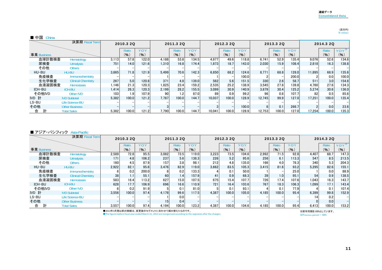#### (百万円)<br>(¥ million)

#### ■ 中国 China

|             | 決算期 Fiscal Term           |       | 2010.3 2Q |       |       | 2011.3 2Q |       |        | 2012.3 20 |       |        | 2013.3 20 |       |        | 2014.3 20 |            |
|-------------|---------------------------|-------|-----------|-------|-------|-----------|-------|--------|-----------|-------|--------|-----------|-------|--------|-----------|------------|
|             |                           |       | Ratio     | YOY   |       | Ratio     | YOY   |        | Ratio     | YOY   |        | Ratio     | YOY   |        | Ratio     | <b>YOY</b> |
| 事業 Business |                           |       | (% )      | (9)   |       | (%)       | (%)   |        | $($ % $)$ | (96)  |        | (% )      | (9)   |        | (9)       | (9)        |
| 血球計数検査      | Hematology                | 3,113 | 57.8      | 122.0 | 4.188 | 53.8      | 134.5 | 4.977  | 49.6      | 118.8 | 6.741  | 52.9      | 135.4 | 9,076  | 52.6      | 134.6      |
| 尿検査         | <b>Urinalysis</b>         | 751   | 14.0      | 121.6 | 1.310 | 16.8      | 174.4 | 1.873  | 18.7      | 143.0 | 2.030  | 15.9      | 108.4 | 2,818  | 16.3      | 138.8      |
| その他         | <b>Others</b>             |       |           |       |       |           |       |        |           |       |        |           |       |        |           |            |
| HU-BU       | HU-BU                     | 3.865 | 71.8      | 121.9 | 5.499 | 70.6      | 142.3 | 6.850  | 68.2      | 124.6 | 8.771  | 68.8      | 128.0 | 11,895 | 68.9      | 135.6      |
| 免疫検査        | Immunochemistry           |       |           |       |       |           |       |        |           | 100.0 |        |           | 200.0 |        | 0.0       | 100.0      |
| 生化学検査       | <b>Clinical Chemistry</b> | 267   | 5.0       | 120.8 | 371   | 4.8       | 139.0 | 562    | 5.6       | 151.5 | 330    | 2.6       | 58.7  | 511    | 3.0       | 154.8      |
| 血液凝固検査      | <b>Hemostasis</b>         | 1.146 | 21.3      | 120.3 | 1.825 | 23.4      | 159.2 | 2.535  | 25.2      | 138.9 | 3.545  | 27.8      | 139.8 | 4.760  | 27.6      | 134.3      |
| ICH-BU      | <b>ICH-BU</b>             | 1.414 | 26.3      | 120.3 | 2.199 | 28.2      | 155.5 | 3.099  | 30.9      | 140.9 | 3.879  | 30.4      | 125.2 | 5.274  | 30.6      | 136.0      |
| その他IVD      | Other IVD                 | 103   | 1.9       | 107.9 | 90    | 1.2       | 87.0  | 89     | 0.9       | 99.2  | 96     | 0.8       | 107.7 | 82     | 0.5       | 85.6       |
| IVD 計       | <b>IVD Subtotal</b>       | 5.382 | 100.0     | 121.2 | 7.787 | 100.0     | 144.7 | 10.037 | 100.0     | 128.9 | 12.745 | 99.9      | 127.0 | 17.251 | 100.0     | 135.4      |
| LS-BU       | <b>Life Science-BU</b>    |       |           |       |       |           |       |        |           |       |        |           |       |        |           |            |
| その他         | <b>Other Business</b>     |       |           |       |       |           |       |        |           | 100.0 |        | 0.1       | 266.7 |        | 0.0       | 23.6       |
| 計<br>合      | <b>Total Sales</b>        | 5,382 | 100.0     | 121.2 | 7.790 | 100.0     | 144.7 | 10.041 | 100.0     | 128.9 | 12.753 | 100.0     | 127.0 | 17,254 | 100.0     | 135.3      |

#### ■ アジア・パシフィック Asia-Pacific

|             | 決算期 Fiscal Term           |       | 2010.3 2Q |       |                  | 2011.3 20 |            |       | 2012.3 20 |            |       | 2013.3 20 |       |       | 2014.3 2Q |       |
|-------------|---------------------------|-------|-----------|-------|------------------|-----------|------------|-------|-----------|------------|-------|-----------|-------|-------|-----------|-------|
|             |                           |       | Ratio     | YOY   |                  | Ratio     | <b>YOY</b> |       | Ratio     | <b>YOY</b> |       | Ratio     | YOY   |       | Ratio     | YOY   |
| 事業 Business |                           |       | (% )      | (%)   |                  | (%)       | (9)        |       | (%)       | (%)        |       | (%)       | (% )  |       | (%)       | (% )  |
| 血球計数検査      | Hematology                | 2.589 | 72.8      | 95.5  | 3,082            | 73.5      | 119.0      | 3,223 | 73.5      | 104.6      | 2.992 | 71.5      | 92.8  | 4,407 | 68.7      | 147.3 |
| 尿検査         | <b>Urinalysis</b>         | 171   | 4.8       | 106.2 | 237              | 5.6       | 138.3      | 226   | 5.2       | 95.6       | 256   | 6.1       | 113.3 | 547   | 8.5       | 213.5 |
| その他         | <b>Others</b>             | 160   | 4.5       | 87.9  | 157 <sub>1</sub> | 3.8       | 98.1       | 212   | 4.8       | 135.0      | 166   | 4.0       | 78.3  | 340   | 5.3       | 204.3 |
| HU-BU       | <b>HU-BU</b>              | 2.922 | 82.1      | 95.6  | 3.476            | 82.9      | 119.0      | 3.662 | 83.5      | 105.3      | 3.415 | 81.6      | 93.2  | 5.295 | 82.6      | 155.1 |
| 免疫検査        | Immunochemistry           |       | 0.2       | 200.0 |                  | 0.2       | 133.3      |       | 0.1       | 50.0       |       |           | 25.0  |       | 0.0       | 88.9  |
| 生化学検査       | <b>Clinical Chemistry</b> | 38    | 1.1       | 55.1  | 60               | 1.4       | 157.9      | 41    | 0.9       | 68.3       | 39    | 1.0       | 95.1  | 54    | 0.9       | 138.5 |
| 血液凝固検査      | <b>Hemostasis</b>         | 583   | 16.4      | 113.2 | 627              | 15.0      | 107.5      | 675   | 15.4      | 107.7      | 726   | 17.4      | 107.6 | 1.043 | 16.3      | 143.7 |
| ICH-BU      | <b>ICH-BU</b>             | 628   | 17.7      | 106.9 | 696              | 16.6      | 110.9      | 721   | 16.4      | 103.6      | 767   | 18.3      | 106.3 | 1.099 | 17.1      | 143.4 |
| その他IVD      | <b>Other IVD</b>          |       | 0.2       | 91.9  |                  | 0.1       | 81.0       |       | 0.1       | 93.1       |       | 0.1       | 77.9  |       | 0.1       | 107.4 |
| IVD 計       | <b>IVD Subtotal</b>       | 3.556 | 100.0     | 97.4  | 4.178            | 99.6      | 117.5      | 4.387 | 100.0     | 105.0      | 4.185 | 100.0     | 95.4  | 6,399 | 99.8      | 152.9 |
| LS-BU       | <b>Life Science-BU</b>    |       |           |       |                  | 0.0       |            |       |           |            |       |           |       | 14    | 0.2       |       |
| その他         | <b>Other Business</b>     |       |           |       | 15               | 0.4       |            |       |           |            |       |           |       |       | 0.0       |       |
| 計<br>合      | <b>Total Sales</b>        | 3,557 | 100.0     | 97.4  | 4.194            | 100.0     | 123.2      | 4.387 | 100.0     | 104.6      | 4.185 | 100.0     | 95.4  | 6,413 | 100.0     | 153.2 |

●2013年3月期以前の実績は、変更後のセグメントに合わせて組み替えたものです。

●The figures before fiscal year ended March 31, 2013 are reorganized according to the segments after the changes.

※前年同期を100%としています。

※Previous period = 100%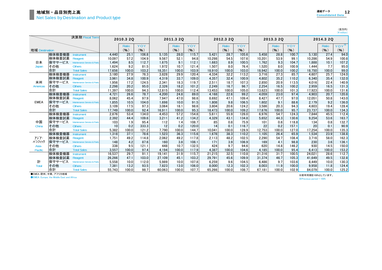(百万円)<br>(¥ million)

|                |        | 決算期 Fiscal Term             |        | 2010.3 2Q |       |        | 2011.3 2Q    |       |        | 2012.3 20    |       |        | 2013.3 2Q |       |        | 2014.3 20 |         |
|----------------|--------|-----------------------------|--------|-----------|-------|--------|--------------|-------|--------|--------------|-------|--------|-----------|-------|--------|-----------|---------|
|                |        |                             |        | Ratio     | YOY   |        | <b>Ratio</b> | YOY   |        | <b>Ratio</b> | YOY   |        | Ratio     | YOY   |        | Ratio     | $YOY^*$ |
| 地域 Destination |        |                             |        | (9)       | (%)   |        | (%)          | (%)   |        | (%)          | (9)   |        | (9)       | (%)   |        | (%)       | $(\% )$ |
|                | 検体検査機器 | <b>Instrument</b>           | 4.440  | 25.1      | 106.8 | 5.135  | 28.0         | 115.7 | 5,421  | 28.7         | 105.6 | 5.458  | 28.8      | 100.7 | 5,130  | 27.4      | 94.0    |
|                | 検体検査試薬 | Reagent                     | 10.097 | 57.2      | 104.9 | 9.567  | 52.1         | 94.8  | 10,298 | 54.5         | 107.6 | 10.201 | 53.9      | 99.1  | 10,286 | 54.9      | 100.8   |
| 日本             | 保守サービス | Maintenance Service & Parts | 1,494  | 8.5       | 112.7 | 1.675  | 9.1          | 112.1 | 1,683  | 8.9          | 100.5 | 1.762  | 9.3       | 104.7 | 1,888  | 10.1      | 107.2   |
| Japan          | その他    | <b>Others</b>               | 1,624  | 9.2       | 81.5  | 1.972  | 10.7         | 121.4 | 1,507  | 8.0          | 76.4  | 1.520  | 8.0       | 100.9 | 1.444  | 7.7       | 95.0    |
|                | 合計     | <b>Total Sales</b>          | 17.656 | 100.0     | 103.2 | 18.351 | 100.0        | 103.9 | 18.910 | 100.0        | 103.0 | 18.942 | 100.0     | 100.2 | 18.750 | 100.0     | 99.0    |
|                | 検体検査機器 | <b>Instrument</b>           | 3.180  | 27.9      | 76.3  | 3.828  | 29.9         | 120.4 | 4.334  | 32.2         | 113.2 | 3.716  | 27.3      | 85.7  | 4.607  | 25.7      | 124.0   |
|                | 検体検査試薬 | Reagent                     | 3,961  | 34.8      | 100.9 | 4,319  | 33.7         | 109.0 | 4,357  | 32.4         | 100.9 | 4,802  | 35.2      | 110.2 | 6,340  | 35.4      | 132.0   |
| 米州             | 保守サービス | Maintenance Service & Parts | 1.956  | 17.2      | 124.5 | 2.341  | 18.3         | 119.7 | 2,511  | 18.7         | 107.3 | 2.850  | 20.9      | 113.5 | 4.016  | 22.4      | 140.9   |
| Americas       | その他    | <b>Others</b>               | 2.298  | 20.2      | 95.0  | 2.326  | 18.2         | 101.2 | 2.249  | 16.7         | 96.7  | 2.254  | 16.5      | 100.2 | 2.959  | 16.5      | 131.3   |
|                | 合計     | <b>Total Sales</b>          | 11,397 | 100.0     | 94.3  | 12,815 | 100.0        | 112.4 | 13,453 | 100.0        | 105.0 | 13,623 | 100.0     | 101.3 | 17,923 | 100.0     | 131.6   |
|                | 検体検査機器 | <b>Instrument</b>           | 4.721  | 26.6      | 78.7  | 4.200  | 24.8         | 89.0  | 4.168  | 22.6         | 99.2  | 4.059  | 23.0      | 97.4  | 4.903  | 20.7      | 120.8   |
|                | 検体検査試薬 | Reagent                     | 8.062  | 45.4      | 97.9  | 7.947  | 47.0         | 98.6  | 8.692  | 47.1         | 109.4 | 8.427  | 47.7      | 97.0  | 12.051 | 50.8      | 143.0   |
| <b>EMEA</b>    | 保守サービス | Maintenance Service & Parts | 1,855  | 10.5      | 104.0 | 1.698  | 10.0         | 91.5  | 1,808  | 9.8          | 106.5 | 1.602  | 9.1       | 88.6  | 2,179  | 9.2       | 136.0   |
|                | その他    | <b>Others</b>               | 3.109  | 17.5      | 97.3  | 3.064  | 18.1         | 98.6  | 3.804  | 20.6         | 124.2 | 3.586  | 20.3      | 94.3  | 4.603  | 19.4      | 128.4   |
|                | 合計     | <b>Total Sales</b>          | 17.749 | 100.0     | 92.4  | 16.911 | 100.0        | 95.3  | 18.473 | 100.0        | 109.2 | 17.676 | 100.0     | 95.7  | 23.737 | 100.0     | 134.3   |
|                | 検体検査機器 | <b>Instrument</b>           | 2.876  | 53.4      | 134.0 | 4.453  | 57.2         | 154.8 | 5.611  | 55.9         | 126.0 | 6.976  | 54.7      | 124.3 | 7,844  | 45.5      | 112.4   |
|                | 検体検査試薬 | Reagent                     | 2,392  | 44.4      | 109.6 | 3,211  | 41.2         | 134.2 | 4,329  | 43.1         | 134.8 | 5.652  | 44.3      | 130.6 | 9,254  | 53.6      | 163.7   |
| 中国             | 保守サービス | Maintenance Service & Parts | 103    | 1.9       | 95.4  | 112    | 1.4          | 108.7 | 85     | 0.8          | 75.9  | 101    | 0.8       | 118.8 | 134    | 0.8       | 132.7   |
| China          | その他    | <b>Others</b>               | 10     | 0.2       | 333.3 | 12     | 0.2          | 120.0 | 14     | 0.1          | 116.7 | 22     | 0.2       | 157.1 | 20     | 0.1       | 90.9    |
|                | 合計     | <b>Total Sales</b>          | 5.382  | 100.0     | 121.2 | 7.790  | 100.0        | 144.7 | 10.041 | 100.0        | 128.9 | 12.753 | 100.0     | 127.0 | 17.254 | 100.0     | 135.3   |
|                | 検体検査機器 | <b>Instrument</b>           | 1.318  | 37.1      | 78.6  | 1.523  | 36.3         | 115.6 | 1,678  | 38.3         | 110.2 | 1.105  | 26.4      | 65.9  | 1.534  | 23.9      | 138.8   |
| アジア・           | 検体検査試薬 | Reagent                     | 1.751  | 49.2      | 114.8 | 2.062  | 49.2         | 117.8 | 2.113  | 48.2         | 102.5 | 2,290  | 54.7      | 108.4 | 3.716  | 58.0      | 162.3   |
| パシフィック         | 保守サービス | Maintenance Service & Parts | 148    | 4.2       | 87.6  | 160    | 3.8          | 108.1 | 171    | 3.9          | 106.9 | 169    | 4.1       | 98.8  | 230    | 3.6       | 136.1   |
| Asia-          | その他    | <b>Others</b>               | 338    | 9.5       | 121.1 | 448    | 10.7         | 132.5 | 424    | 9.7          | 94.6  | 620    | 14.8      | 146.2 | 930    | 14.5      | 150.0   |
| Pacific        | 合計     | <b>Total Sales</b>          | 3.557  | 100.0     | 97.4  | 4.194  | 100.0        | 117.9 | 4.387  | 100.0        | 104.6 | 4.185  | 100.0     | 95.4  | 6.413  | 100.0     | 153.2   |
|                | 検体検査機器 | <b>Instrument</b>           | 16.537 | 29.7      | 91.1  | 19.141 | 31.9         | 115.7 | 21.215 | 32.5         | 110.8 | 21.316 | 31.7      | 100.5 | 24.021 | 28.6      | 112.7   |
|                | 検体検査試薬 | Reagent                     | 26,266 | 47.1      | 103.0 | 27,109 | 45.1         | 103.2 | 29,791 | 45.6         | 109.9 | 31.374 | 46.7      | 105.3 | 41,649 | 49.5      | 132.8   |
| 計              | 保守サービス | Maintenance Service & Parts | 5,558  | 10.0      | 112.0 | 5.989  | 10.0         | 107.8 | 6,259  | 9.6          | 104.5 | 6.486  | 9.7       | 103.6 | 8.449  | 10.0      | 130.3   |
| Total          | その他    | <b>Others</b>               | 7.381  | 13.2      | 93.5  | 7.823  | 13.0         | 106.0 | 8.000  | 12.3         | 102.3 | 8.003  | 11.9      | 100.0 | 9.958  | 11.8      | 124.4   |
|                | 合計     | <b>Total Sales</b>          | 55.743 | 100.0     | 98.7  | 60.063 | 100.0        | 107.7 | 65.266 | 100.0        | 108.7 | 67.181 | 100.0     | 102.9 | 84.079 | 100.0     | 125.2   |

●EMEA:欧州、中東、アフリカ地域

**OEMEA: Europe, the Middle East and Africa** 

※前年同期を100%としています。 ※Previous period = 100%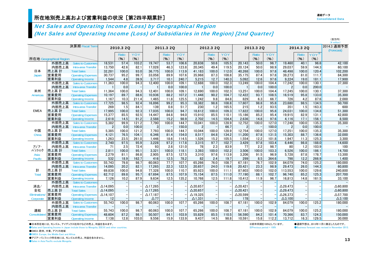#### Net Sales and Operating Income (Loss) by Geographical Region (Net Sales and Operating Income (Loss) of Subsidiaries in the Region) [2nd Quarter]

|                     |                         |                                           |                    |              |       |                  |                          |                |                 |              |                |                    |              |                |                          |              |                | $(4$ million)    |
|---------------------|-------------------------|-------------------------------------------|--------------------|--------------|-------|------------------|--------------------------|----------------|-----------------|--------------|----------------|--------------------|--------------|----------------|--------------------------|--------------|----------------|------------------|
|                     |                         | 決算期 Fiscal Term                           |                    | 2010.3 2Q    |       |                  | 2011.3 2Q                |                |                 | 2012.3 2Q    |                |                    | 2013.3 2Q    |                |                          | 2014.3 2Q    |                | 2014.3 通期予想      |
|                     |                         |                                           |                    | Ratio        | YOY   |                  | Ratio                    | YOY            |                 | Ratio        | <b>YOY</b>     |                    | <b>Ratio</b> | YOY            |                          | Ratio        | $YOY^*$        | (Forecast)       |
|                     |                         |                                           |                    |              |       |                  |                          |                |                 |              |                |                    |              |                |                          |              |                |                  |
|                     | 所在地 Geographical Region |                                           |                    | (%)          | (%)   |                  | (%)                      | (%)            |                 | (%)          | (%)            |                    | (%)          | $($ %)         |                          | (%)          | (%)            |                  |
|                     | 外部売上高                   | <b>Sales to Customers</b>                 | 18.531             | 57.4         | 103.2 | 19.747           | 53.7                     | 106.6          | 20.838          | 50.6         | 105.5          | 20.143             | 50.0         | 96.7           | 19.460                   | 40.1         | 96.6           | 42.100           |
|                     | 内部売上高                   | Intra-area Transfer                       | 13,750             | 42.6         | 82.1  | 17,028           | 46.3                     | 123.8          | 20.345          | 49.4         | 119.5          | 20,124             | 50.0         | 98.9           | 29,037                   | 59.9         | 144.3          | 60,100           |
| 日本                  | 売上高 計                   | <b>Total Sales</b>                        | 32,281             | 100.0        | 93.0  | 36,775           | 100.0                    | 113.9          | 41.183          | 100.0        | 112.0          | 40,268             | 100.0        | 97.8           | 48.498                   | 100.0        | 120.4          | 102,200          |
| Japan               | 営業費用                    | <b>Operating Expenses</b>                 | 30,737             | 95.2         | 99.7  | 33,058           | 89.9                     | 107.6          | 35.968          | 87.3         | 108.8          | 35,175             | 87.4         | 97.8           | 39,273                   | 81.0         | 111.7          | 84,300           |
|                     | 営業利益                    | <b>Operating Income</b>                   | 1,544              | 4.8          | 39.9  | 3,717            | 10.1<br>100.0            | 240.7<br>109.1 | 5,215           | 12.7         | 140.3<br>102.3 | 5,092              | 12.6         | 97.6           | 9.224                    | 19.0         | 181.1          | 17,900           |
|                     | 外部売上高<br>内部売上高          | <b>Sales to Customers</b>                 | 11,363             | 100.0        | 94.3  | 12,400           |                          |                | 12,688          | 100.0        |                | 13,249             | 100.0        | 104.4          | 17,242                   | 100.0<br>0.0 | 130.1          | 37,300           |
| 米州                  | 売上高 計                   | Intra-area Transfer<br><b>Total Sales</b> |                    | 0.0<br>100.0 | 94.3  |                  | 0.0<br>100.0             | 100.0<br>109.1 | 12.690          | 0.0<br>100.0 | 100.0<br>102.3 |                    | 0.0<br>100.0 | 100.0<br>104.4 | $\overline{2}$<br>17,245 | 100.0        | 200.0<br>130.1 |                  |
| Americas            | 営業費用                    | <b>Operating Expenses</b>                 | 11,364<br>10,197   | 89.7         | 88.6  | 12.401<br>10,936 | 88.2                     | 107.2          | 11.448          | 90.2         | 104.7          | 13,251<br>12,422   | 93.7         | 108.5          | 16.519                   | 95.8         | 133.0          | 37,300<br>35,300 |
|                     | 営業利益                    | <b>Operating Income</b>                   | 1.167              | 10.3         | 211.4 | 1.465            | 11.8                     | 125.5          | 1.242           | 9.8          | 84.8           | 829                | 6.3          | 66.7           | 726                      | 4.2          | 87.6           | 2,000            |
|                     | 外部売上高                   | <b>Sales to Customers</b>                 | 17,725             | 98.5         | 92.4  | 16,896           | 99.2                     | 95.3           | 18,382          | 98.8         | 108.8          | 17,607             | 98.8         | 95.8           | 23,680                   | 98.5         | 134.5          | 50,700           |
|                     | 内部売上高                   | Intra-area Transfer                       | 269                | 1.5          | 84.1  | 139              | 0.8                      | 51.7           | 230             | 1.2          | 165.5          | 215                | 1.2          | 93.5           | 351                      | 1.5          | 163.3          | 600              |
| <b>EMEA</b>         | 売上高 計                   | <b>Total Sales</b>                        | 17,995             | 100.0        | 92.3  | 17,035           | 100.0                    | 94.7           | 18,612          | 100.0        | 109.3          | 17,822             | 100.0        | 95.8           | 24,031                   | 100.0        | 134.8          | 51,300           |
|                     | 営業費用                    | <b>Operating Expenses</b>                 | 15,377             | 85.5         | 92.5  | 14,447           | 84.8                     | 94.0           | 15,910          | 85.5         | 110.1          | 15,186             | 85.2         | 95.4           | 19,915                   | 82.9         | 131.1          | 42,800           |
|                     | 営業利益                    | Operating Income                          | 2.618              | 14.5         | 91.2  | 2.588            | 15.2                     | 98.9           | 2.702           | 14.5         | 104.4          | 2.636              | 14.8         | 97.6           | 4.116                    | 17.1         | 156.1          | 8,500            |
|                     | 外部売上高                   | <b>Sales to Customers</b>                 | 5,382              | 99.9         | 121.2 | 7,790            | 100.0                    | 144.7          | 10,041          | 100.0        | 128.9          | 12,752             | 100.0        | 127.0          | 17,248                   | 100.0        | 135.3          | 35,300           |
|                     | 内部売上高                   | Intra-area Transfer                       | $\overline{2}$     | 0.0          | 100.0 | 3                |                          | 150.0          | $\overline{2}$  |              | 66.7           | $\overline{2}$     |              | 100.0          | $\overline{2}$           | 0.0          | 100.0          |                  |
| 中国                  | 売上高 計                   | <b>Total Sales</b>                        | 5,385              | 100.0        | 121.2 | 7.793            | 100.0                    | 144.7          | 10.044          | 100.0        | 128.9          | 12,754             | 100.0        | 127.0          | 17.251                   | 100.0        | 135.3          | 35,300           |
| China               | 営業費用                    | <b>Operating Expenses</b>                 | 4,121              | 76.5         | 104.1 | 6,346            | 81.4                     | 154.0          | 8,517           | 84.8         | 134.2          | 11,200             | 87.8         | 131.5          | 15,303                   | 88.7         | 136.6          | 32,000           |
|                     | 営業利益                    | <b>Operating Income</b>                   | 1,263              | 23.5         | 261.0 | 1,446            | 18.6                     | 114.5          | 1,526           | 15.2         | 105.5          | 1,554              | 12.2         | 101.8          | 1,947                    | 11.3         | 125.3          | 3,300            |
|                     | 外部売上高                   | <b>Sales to Customers</b>                 | 2.740              | 97.5         | 95.9  | 3.228            | 97.2                     | 117.8          | 3.315           | 97.7         | 102.7          | 3,429              | 97.8         | 103.4          | 6.446                    | 98.8         | 188.0          | 14,600           |
| アジア・                | 内部売上高                   | Intra-area Transfer                       | 71                 | 2.5          | 72.4  | 93               | 2.8                      | 131.0          | 78              | 2.3          | 83.9           | 77                 | 2.2          | 98.7           | 80                       | 1.2          | 103.9          | 100              |
| パシフィック              | 売上高 計                   | <b>Total Sales</b>                        | 2,811              | 100.0        | 95.1  | 3.321            | 100.0                    | 118.1          | 3.393           | 100.0        | 102.2          | 3.506              | 100.0        | 103.3          | 6.526                    | 100.0        | 186.1          | 14,700           |
| Asia-               | 営業費用                    | <b>Operating Expenses</b>                 | 2,279              | 81.1         | 86.8  | 2,905            | 87.5                     | 127.5          | 3,310           | 97.6         | 113.9          | 3,206              | 91.5         | 96.9           | 5.728                    | 87.8         | 178.7          | 13,300           |
| Pacific             | 営業利益                    | <b>Operating Income</b>                   | 532                | 18.9         | 162.7 | 416              | 12.5                     | 78.2           | 82              | 2.4          | 19.7           | 299                | 8.5          | 364.6          | 798                      | 12.2         | 266.9          | 1,400            |
|                     | 外部売上高                   | <b>Sales to Customers</b>                 | 55,743             | 79.8         | 98.7  | 60,063           | 77.7                     | 107.7          | 65,266          | 76.0         | 108.7          | 67,181             | 76.7         | 102.9          | 84.079                   | 74.0         | 125.2          | 180,000          |
|                     | 内部売上高                   | Intra-area Transfer                       | 14,095             | 20.2         | 82.1  | 17,265           | 22.3                     | 122.5          | 20,657          | 24.0         | 119.6          | 20,421             | 23.3         | 98.9           | 29,473                   | 26.0         | 144.3          | 60,800           |
| 計                   | 売上高 計                   | <b>Total Sales</b>                        | 69,838             | 100.0        | 94.8  | 77,328           | 100.0                    | 110.7          | 85,923          | 100.0        | 111.1          | 87,603             | 100.0        | 102.0          | 113,553                  | 100.0        | 129.6          | 240,800          |
| <b>Total</b>        | 営業費用                    | <b>Operating Expenses</b>                 | 62.712             | 89.8         | 95.7  | 67.694           | 87.5                     | 107.9          | 75.154          | 87.5         | 111.0          | 77.190             | 88.1         | 102.7          | 96.740                   | 85.2         | 125.3          | 207,700          |
|                     | 営業利益                    | <b>Operating Income</b>                   | 7.126              | 10.2         | 87.9  | 9.634            | 12.5                     | 135.2          | 10.768          | 12.5         | 111.8          | 10.412             | 11.9         | 96.7           | 16.813                   | 14.8         | 161.5          | 33,100           |
|                     | 外部売上高                   | <b>Sales to Customers</b>                 |                    |              |       |                  |                          |                |                 |              |                |                    |              |                |                          |              |                |                  |
| 消去/                 | 内部売上高                   | Intra-area Transfer                       | $\triangle$ 14,095 |              |       | $\Delta$ 17,265  |                          |                | $\Delta$ 20.657 |              |                | $\triangle$ 20,421 |              |                | $\triangle$ 29,473       |              |                | $\Delta$ 60,800  |
| 全社                  | 売上高計                    | <b>Total Sales</b>                        | $\triangle$ 14,095 |              |       | $\Delta$ 17,265  | $\overline{\phantom{a}}$ |                | $\Delta$ 20,657 |              |                | $\triangle$ 20,421 |              |                | $\triangle$ 29,473       |              |                | $\Delta$ 60,800  |
| <b>Eliminations</b> | 営業費用                    | <b>Operating Expenses</b>                 | $\triangle$ 14.107 |              |       | $\Delta$ 17,187  |                          |                | $\Delta$ 19.325 |              |                | $\triangle$ 20.599 |              |                | $\Delta$ 26.373          |              |                | $\Delta$ 57,700  |
| Corporate           | 営業利益                    | <b>Operating Income</b>                   | 12                 |              |       | $\Delta$ 77      |                          |                | $\Delta$ 1.331  |              |                | 178                |              |                | $\Delta$ 3.100           |              |                | $\Delta$ 3,100   |
|                     | 外部売上高                   | <b>Sales to Customers</b>                 | 55,743             | 100.0        | 98.7  | 60,063           | 100.0                    | 107.7          | 65,266          | 100.0        | 108.7          | 67,181             | 100.0        | 102.9          | 84,079                   | 100.0        | 125.2          | 180,000          |
|                     | 内部売上高                   | Intra-area Transfer                       |                    |              |       |                  |                          |                |                 |              |                |                    |              |                |                          |              |                |                  |
| 連結                  | 売上高 計                   | <b>Total Sales</b>                        | 55,743             | 100.0        | 98.7  | 60,063           | 100.0                    | 107.7          | 65.266          | 100.0        | 108.7          | 67,181             | 100.0        | 102.9          | 84,079                   | 100.0        | 125.2          | 180,000          |
| Consolidated        | 営業費用                    | <b>Operating Expenses</b>                 | 48,604             | 87.2         | 98.1  | 50,507           | 84.1                     | 103.9          | 55,829          | 85.5         | 110.5          | 56,590             | 84.2         | 101.4          | 70,366                   | 83.7         | 124.3          | 150,000          |
|                     | 営業利益                    | Operating Income                          | 7,138              | 12.8         | 103.0 | 9.556            | 15.9                     | 133.9          | 9.437           | 14.5         | 98.8           | 10.591             | 15.8         | 112.2          | 13,712                   | 16.3         | 129.5          | 30,000           |

●日本所在地には、モンゴル、アイデックス社向けなどの売上、利益を含みます。

●Sales and Operating Income in Japan include those to Mongolia, IDEXX and other countries.

●EMEA:欧州、中東、アフリカ地域

**OEMEA: Europe, the Middle East and Africa** 

●アジア・パシフィック所在地には、モンゴルの売上、利益を含みません。

● Sales in Asia Pacific exclude Mongolia.

※前年同期を100%としています。 ●通期予想は、2013年11月に修正したものです。

※Previous period = 100% ●Business forecast was revised in November 2013.

(百万円)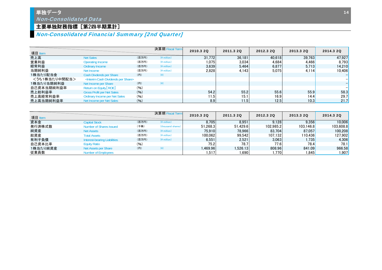#### 単独データ Non-Consolidated Data

#### 主要単独財務指標 [第2四半期累計]

### Non-Consolidated Financial Summary [2nd Quarter]

| 項目 Item       |                                                          |       | 決算期 Fiscal Term | 2010.3 20 | 2011.3 20 | 2012.3 20 | 2013.3 20 | 2014.3 20 |
|---------------|----------------------------------------------------------|-------|-----------------|-----------|-----------|-----------|-----------|-----------|
| 売上高           | <b>Net Sales</b>                                         | (百万円) | $(*$ million)   | 31.772    | 36.181    | 40.618    | 39.763    | 47.927    |
| 営業利益          | Operating Income                                         | (百万円) | $(*$ million)   | 1,075     | 3.034     | 4,684     | 4,466     | 8,793     |
| 経常利益          | Ordinary Income                                          | (百万円) | $(*$ million)   | 3,639     | 5.464     | 6.877     | 5.713     | 14,210    |
| 当期純利益         | Net Income                                               | (百万円) | $(*$ million)   | 2.828     | 4.143     | 5.075     | 4.114     | 10.406    |
| 1株当たり配当金      | Cash Divdends per Share                                  | (円)   | $(\c{4})$       |           |           |           |           |           |
| <うち1株当たり中間配当> | <interim cash="" dividends="" per="" share=""></interim> |       |                 |           |           |           |           |           |
| 1株当たり当期純利益    | Net Income per Share                                     | (円)   | $(\dagger)$     |           |           |           |           |           |
| 自己資本当期純利益率    | Return on Equity [ROE]                                   | (96)  |                 |           |           |           |           |           |
| 売上総利益率        | <b>Gross Profit per Net Sales</b>                        | (96)  |                 | 54.2      | 55.2      | 55.6      | 55.9      | 58.3      |
| 売上高経常利益率      | <b>Ordinary Income per Net Sales</b>                     | (96)  |                 | 11.5      | 15.1      | 16.9      | 14.4      | 29.7      |
| 売上高当期純利益率     | Net Income per Net Sales                                 | (9/6) |                 | 8.9       | 11.5      | 12.5      | 10.3      | 21.7      |

| 項目 Item  |                              |       | 決算期 Fiscal Term   | 2010.3 20 | 2011.3 20 | 2012.3 20 | 2013.3 20         | 2014.3 20 |
|----------|------------------------------|-------|-------------------|-----------|-----------|-----------|-------------------|-----------|
| 資本金      | <b>Capital Stock</b>         | (百万円) | $(*$ million)     | 8.705     | 8.951     | 9.128     | 9.356             | 10.006    |
| 発行済株式数   | Number of Shares Issued      | (千株)  | (thousand shares) | 51.268.3  | 51.429.6  | 102.985.2 | 103.146.8         | 103.608.8 |
| 純資産      | <b>Net Assets</b>            | (百万円) | $(*$ million)     | 75.910    | 78.966    | 83.704    | 87.057            | 100,208   |
| 総資産      | <b>Total Assets</b>          | (百万円) | $(*$ million)     | 100.062   | 99.542    | 107.132   | 110.4361          | 127,902   |
| 有利子負債    | Interest-bearing Liabilities | (百万円) | $(*$ million)     | 6.551     | 2.521     | 3.063     | 1.735 $\mathsf I$ | 4.306     |
| 自己資本比率   | <b>Equity Ratio</b>          | (96)  |                   | 75.2      | 78.7      | 77.6      | 78.4              | 78.1      |
| 1株当たり純資産 | Net Assets per Share         | (円)   | $(*)$             | 1.469.96  | 1.526.13  | 808.96    | 841.09            | 966.58    |
| 従業員数     | <b>Number of Employees</b>   |       |                   | ا517، ،   | ا 690. ا  | .770      | 1,845 $\vert$     | 907. ا    |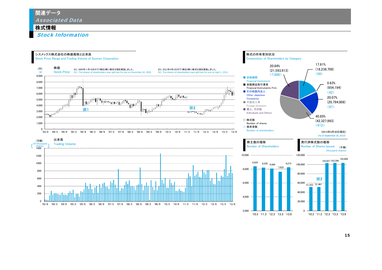関連データ Associated Data

#### 株式情報

Stock Information

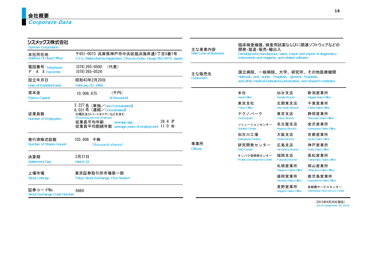| シスメックス株式会社<br><b>Sysmex Corporation</b>       |                                                                                                       | 主な事業内容                       | 臨床検査機器、検査用試薬ならびに関連ソフトウェアなどの<br>開発·製造·販売·輸出入<br>Development, manufacture, sales, import and export of diagnostics instruments and reagents, and related software |                                      |                                                 |  |  |  |
|-----------------------------------------------|-------------------------------------------------------------------------------------------------------|------------------------------|-----------------------------------------------------------------------------------------------------------------------------------------------------------------|--------------------------------------|-------------------------------------------------|--|--|--|
| 本社所在地<br>Address of Head Office               | 〒651-0073 兵庫県神戸市中央区脇浜海岸通1丁目5番1号<br>1-5-1, Wakinohama-Kaigandori, Chuo-ku, Kobe, Hyogo 651-0073, Japan | <b>Main Line of Business</b> |                                                                                                                                                                 |                                      |                                                 |  |  |  |
| 電話番号 Telephone<br><b>A</b> X Facsimile<br>F.  | $(078)$ 265-0500<br>(代表)<br>$(078)$ 265-0524                                                          | 主な販売先                        | 国立病院、一般病院、大学、研究所、その他医療機関                                                                                                                                        |                                      |                                                 |  |  |  |
| 設立年月日<br>Date of Establishment                | 昭和43年2月20日<br>February 20, 1968                                                                       | <b>Customers</b>             | National and public hospitals, general hospitals,<br>and other medical institutions, universities, and research institutes                                      |                                      |                                                 |  |  |  |
| 資本金<br>Paid-in Capital                        | (千円)<br>10, 006, 675<br>(¥ thousand)                                                                  |                              | 本社<br><b>Head Office</b>                                                                                                                                        | 仙台支店<br>Sendai Branch                | 新潟営業所<br>Niigata Sales Office                   |  |  |  |
|                                               | 2, 227 名 (単独/Non-Consolidated)<br>6.031名 (連結/Consolidated)                                            |                              | 東京支社<br><b>Tokyo Office</b>                                                                                                                                     | 北関東支店<br>Kita Kanto Branch           | 千葉営業所<br>Chiba Sales Office                     |  |  |  |
| 従業員数<br><b>Number of Employees</b>            | ※嘱託及びパートタイマーなどを含む<br><b>XIncluding part-time employee</b>                                             |                              | テクノパーク<br>Technopark                                                                                                                                            | 東京支店<br><b>Tokyo Branch</b>          | 静岡営業所<br><b>Shizuoka Sales Office</b>           |  |  |  |
|                                               | 39.4 才<br>従業員平均年齢<br>average age<br>従業員平均勤続年数 average years of employment 11.0 年                      |                              | ソリューションセンター<br><b>Solution Center</b>                                                                                                                           | 名古屋支店<br>Nagoya Branch               | 金沢営業所<br>Kanazawa Sales Office                  |  |  |  |
| 発行済株式総数                                       | 103,608<br>千株                                                                                         |                              | 加古川工場<br>Kakogawa Factory                                                                                                                                       | 大阪支店<br>Osaka Branch                 | 京都営業所<br><b>Kyoto Sales Office</b>              |  |  |  |
| Number of Shares Issued                       | (thousand shares)                                                                                     | 事業所<br><b>Offices</b>        | 研究開発センター<br><b>R&amp;D Center</b>                                                                                                                               | 広島支店<br>Hiroshima Branch             | 神戸営業所<br>Kobe Sales Office                      |  |  |  |
| 決算期<br><b>Settlement Day</b>                  | 3月31日<br>March 31                                                                                     |                              | タンパク質開発センター<br><b>Protein Development Center</b>                                                                                                                | 福岡支店<br><b>Fukuoka Branch</b>        | 高松営業所<br><b>Takamatsu Sales Office</b>          |  |  |  |
|                                               |                                                                                                       |                              |                                                                                                                                                                 | 札幌営業所<br><b>Sapporo Sales Office</b> | 岡山営業所<br>Okayama Sales Office                   |  |  |  |
| 上場市場<br><b>Stock Listings</b>                 | 東京証券取引所市場第一部<br><b>Tokyo Stock Exchange, First Section</b>                                            |                              |                                                                                                                                                                 | 盛岡営業所<br>Morioka Sales Office        | 鹿児島営業所<br>Kagoshima Sales Office                |  |  |  |
| 証券コードNo.<br><b>Stock Exchange Code Number</b> | 6869                                                                                                  |                              |                                                                                                                                                                 | 長野営業所<br>Nagano Sales Office         | 首都圏サービスセンター<br>Metropolitan Area Service Center |  |  |  |

(2013年9月30日現在) (As of September 30, 2013)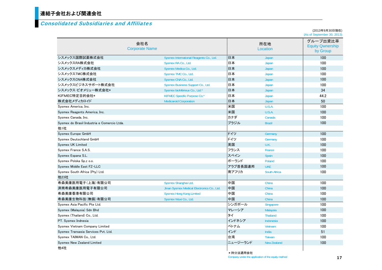## 連結子会社および関連会社

#### Consolidated Subsidiaries and Affiliates

(2013年9月30日現在) (As of September 30, 2013)

|                                             | 会社名<br><b>Corporate Name</b>               |           | 所在地<br>Location    | グループ出資比率<br><b>Equity Qwnership</b><br>by Group |
|---------------------------------------------|--------------------------------------------|-----------|--------------------|-------------------------------------------------|
| シスメックス国際試薬株式会社                              | Sysmex International Reagents Co., Ltd.    | 日本        | Japan              | 100                                             |
| シスメックスRA株式会社                                | Sysmex RA Co., Ltd.                        | 日本        | Japan              | 100                                             |
| シスメックスメディカ株式会社                              | Sysmex Medica Co., Ltd.                    | 日本        | Japan              | 100                                             |
| シスメックスTMC株式会社                               | Sysmex TMC Co., Ltd.                       | 日本        | Japan              | 100                                             |
| シスメックスCNA株式会社                               | Sysmex CNA Co., Ltd.                       | 日本        | Japan              | 100                                             |
| シスメックスビジネスサポート株式会社                          | Sysmex Business Support Co., Ltd.          | 日本        | Japan              | 100                                             |
| シスメックス・ビオメリュー株式会社*                          | Sysmex bioMérieux Co., Ltd.*               | 日本        | Japan              | 34                                              |
| KIFMEC特定目的会社*                               | KIFMEC Specific Purpose Co.*               | :日本       | Japan              | 44.2                                            |
| 株式会社メディカロイド                                 | <b>Medicaroid Corporation</b>              | - 日本      | Japan              | 50                                              |
| Sysmex America, Inc.                        |                                            | 米国        | U.S.A.             | 100                                             |
| Sysmex Reagents America, Inc.               |                                            | 米国        | U.S.A.             | 100                                             |
| Sysmex Canada, Inc.                         |                                            | カナダ       | Canada             | 100                                             |
| Sysmex do Brasil Industria e Comercio Ltda. |                                            | ブラジル      | <b>Brazil</b>      | 100                                             |
| 他1社                                         |                                            |           |                    |                                                 |
| Sysmex Europe GmbH                          |                                            | ドイツ       | Germany            | 100                                             |
| Sysmex Deutschland GmbH                     |                                            | ドイツ       | Germany            | 100                                             |
| <b>Sysmex UK Limited</b>                    |                                            | 英国        | U.K.               | 100                                             |
| Sysmex France S.A.S.                        |                                            | フランス      | France             | 100                                             |
| Sysmex Espana S.L.                          |                                            | スペイン      | <b>Spain</b>       | 100                                             |
| Sysmex Polska Sp.z o.o.                     |                                            | ポーランド     | Poland             | 100                                             |
| Sysmex Middle East FZ-LLC                   |                                            | :アラブ首長国連邦 | <b>UAE</b>         | 100                                             |
| Sysmex South Africa (Pty) Ltd.              |                                            | 南アフリカ     | South Africa       | 100                                             |
| 他23社                                        |                                            |           |                    |                                                 |
| 希森美康医用電子(上海)有限公司                            | Sysmex Shanghai Ltd.                       | 中国        | China              | 100                                             |
| 済南希森美康医用電子有限公司                              | Jinan Sysmex Medical Electronics Co., Ltd. | 中国        | China              | 100                                             |
| 希森美康香港有限公司                                  | <b>Sysmex Hong Kong Limited</b>            | 中国        | China              | 100                                             |
| 希森美康生物科技(無錫)有限公司                            | Sysmex Wuxi Co., Ltd.                      | :中国       | China              | 100                                             |
| Sysmex Asia Pacific Pte Ltd.                |                                            | シンガポール    | Singapore          | 100                                             |
| Sysmex (Malaysia) Sdn Bhd                   |                                            | マレーシア     | Malaysia           | 100                                             |
| Sysmex (Thailand) Co., Ltd.                 |                                            | タイ        | <b>Thailand</b>    | 100                                             |
| PT. Sysmex Indnesia                         |                                            | インドネシア    | Indonesia          | 100                                             |
| Sysmex Vietnam Company Limited              |                                            | ベトナム      | Vietnam            | 100                                             |
| Sysmex Transasia Services Pvt. Ltd.         |                                            | インド       | India              | 51                                              |
| Sysmex TAIWAN Co., Ltd.                     |                                            | 台湾        | <b>Taiwan</b>      | 100                                             |
| <b>Sysmex New Zealand Limited</b>           |                                            | ニュージーランド  | <b>New Zealand</b> | 100                                             |
| 他4社                                         |                                            | ★挂公注滴田仝社  |                    |                                                 |